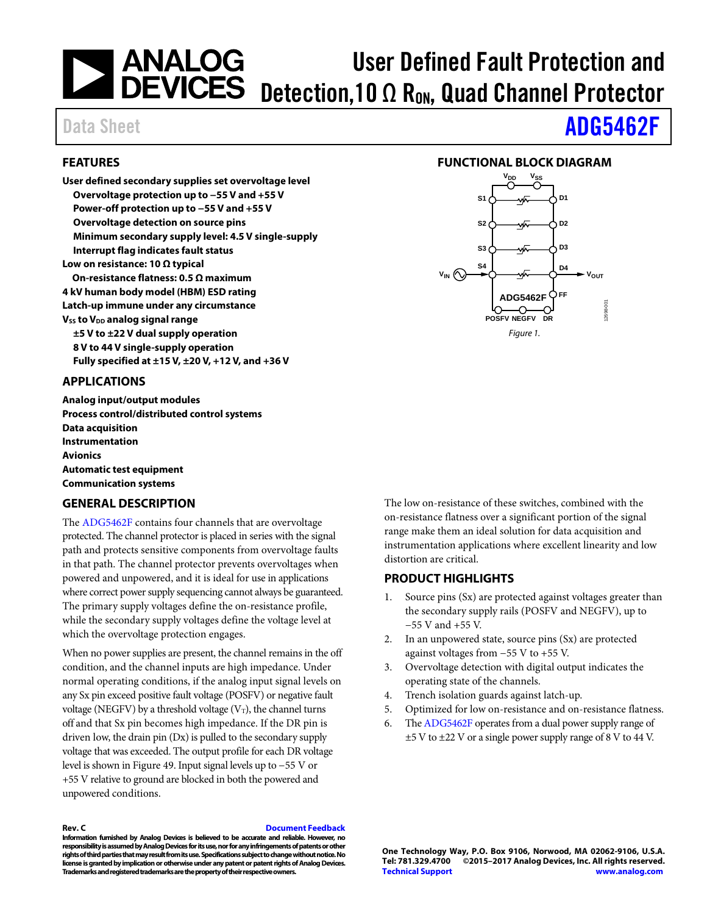### **ANALOG<br>DEVICES** User Defined Fault Protection and Detection, 10  $\Omega$  R<sub>ON</sub>, Quad Channel Protector

#### <span id="page-0-0"></span>**FEATURES**

**User defined secondary supplies set overvoltage level Overvoltage protection up to −55 V and +55 V Power-off protection up to −55 V and +55 V Overvoltage detection on source pins Minimum secondary supply level: 4.5 V single-supply Interrupt flag indicates fault status Low on resistance: 10 Ω typical On-resistance flatness: 0.5 Ω maximum 4 kV human body model (HBM) ESD rating Latch-up immune under any circumstance Vss to V<sub>DD</sub> analog signal range ±5 V to ±22 V dual supply operation 8 V to 44 V single-supply operation Fully specified at ±15 V, ±20 V, +12 V, and +36 V** 

#### <span id="page-0-1"></span>**APPLICATIONS**

**Analog input/output modules Process control/distributed control systems Data acquisition Instrumentation Avionics Automatic test equipment Communication systems**

#### <span id="page-0-3"></span>**GENERAL DESCRIPTION**

The [ADG5462F](http://www.analog.com/ADG5462F?doc=ADG5462F.pdf) contains four channels that are overvoltage protected. The channel protector is placed in series with the signal path and protects sensitive components from overvoltage faults in that path. The channel protector prevents overvoltages when powered and unpowered, and it is ideal for use in applications where correct power supply sequencing cannot always be guaranteed. The primary supply voltages define the on-resistance profile, while the secondary supply voltages define the voltage level at which the overvoltage protection engages.

When no power supplies are present, the channel remains in the off condition, and the channel inputs are high impedance. Under normal operating conditions, if the analog input signal levels on any Sx pin exceed positive fault voltage (POSFV) or negative fault voltage (NEGFV) by a threshold voltage ( $V_T$ ), the channel turns off and that Sx pin becomes high impedance. If the DR pin is driven low, the drain pin (Dx) is pulled to the secondary supply voltage that was exceeded. The output profile for each DR voltage level is shown in [Figure 49.](#page-23-0) Input signal levels up to −55 V or +55 V relative to ground are blocked in both the powered and unpowered conditions.

**Rev. C [Document Feedback](https://form.analog.com/Form_Pages/feedback/documentfeedback.aspx?doc=ADG5462F.pdf&product=ADG5462F&rev=C)**

**Information furnished by Analog Devices is believed to be accurate and reliable. However, no responsibilityis assumed by Analog Devices for its use, nor for any infringements of patents or other rights of third parties that may result from its use. Specifications subject to change without notice. No license is granted by implication or otherwise under any patent or patent rights of Analog Devices. Trademarks and registered trademarks are the property of their respective owners.**

# Data Sheet **[ADG5462F](http://www.analog.com/ADG5462F?doc=ADG5462F.pdf)**

#### **FUNCTIONAL BLOCK DIAGRAM**

<span id="page-0-2"></span>

The low on-resistance of these switches, combined with the on-resistance flatness over a significant portion of the signal range make them an ideal solution for data acquisition and instrumentation applications where excellent linearity and low distortion are critical.

#### <span id="page-0-4"></span>**PRODUCT HIGHLIGHTS**

- 1. Source pins (Sx) are protected against voltages greater than the secondary supply rails (POSFV and NEGFV), up to −55 V and +55 V.
- 2. In an unpowered state, source pins (Sx) are protected against voltages from −55 V to +55 V.
- 3. Overvoltage detection with digital output indicates the operating state of the channels.
- 4. Trench isolation guards against latch-up.
- 5. Optimized for low on-resistance and on-resistance flatness.
- 6. Th[e ADG5462F](http://www.analog.com/ADG5462F?doc=ADG5462F.pdf) operates from a dual power supply range of ±5 V to ±22 V or a single power supply range of 8 V to 44 V.

**One Technology Way, P.O. Box 9106, Norwood, MA 02062-9106, U.S.A. Tel: 781.329.4700 ©2015–2017 Analog Devices, Inc. All rights reserved. [Technical Support](http://www.analog.com/en/content/technical_support_page/fca.html) [www.analog.com](http://www.analog.com/)**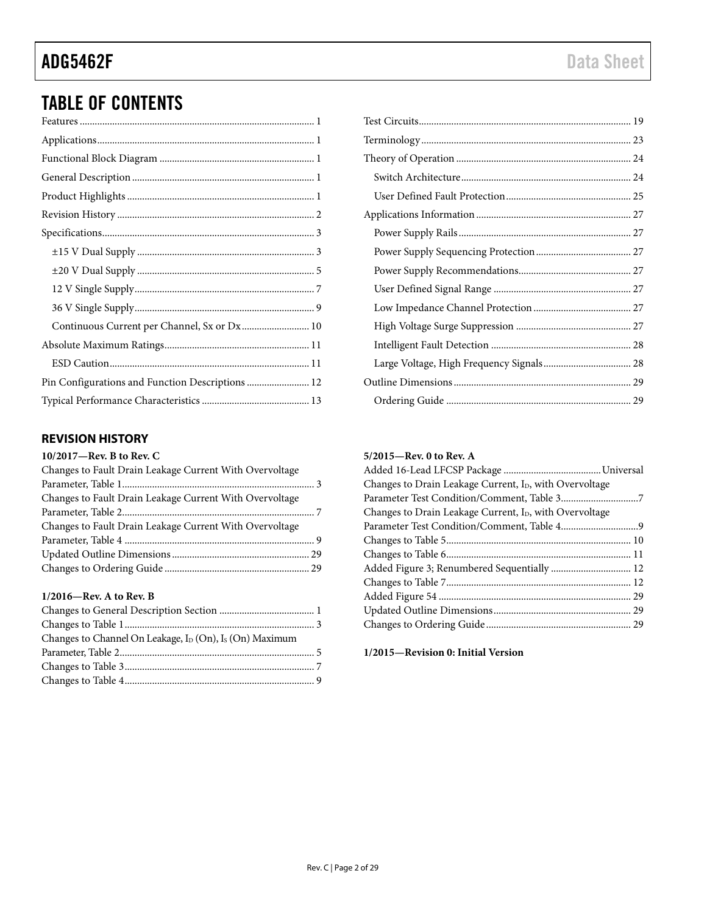## TABLE OF CONTENTS

| Continuous Current per Channel, Sx or Dx 10      |  |
|--------------------------------------------------|--|
|                                                  |  |
|                                                  |  |
| Pin Configurations and Function Descriptions  12 |  |
|                                                  |  |

#### <span id="page-1-0"></span>**REVISION HISTORY**

#### **10/2017—Rev. B to Rev. C**

| Changes to Fault Drain Leakage Current With Overvoltage |  |
|---------------------------------------------------------|--|
|                                                         |  |
| Changes to Fault Drain Leakage Current With Overvoltage |  |
|                                                         |  |
| Changes to Fault Drain Leakage Current With Overvoltage |  |
|                                                         |  |
|                                                         |  |
|                                                         |  |

#### **1/2016—Rev. A to Rev. B**

| Changes to Channel On Leakage, I <sub>D</sub> (On), I <sub>s</sub> (On) Maximum |  |
|---------------------------------------------------------------------------------|--|
|                                                                                 |  |
|                                                                                 |  |
|                                                                                 |  |

#### **5/2015—Rev. 0 to Rev. A**

| Changes to Drain Leakage Current, I <sub>D</sub> , with Overvoltage |  |
|---------------------------------------------------------------------|--|
|                                                                     |  |
| Changes to Drain Leakage Current, I <sub>D</sub> , with Overvoltage |  |
|                                                                     |  |
|                                                                     |  |
|                                                                     |  |
| Added Figure 3; Renumbered Sequentially  12                         |  |
|                                                                     |  |
|                                                                     |  |
|                                                                     |  |
|                                                                     |  |
|                                                                     |  |

**1/2015—Revision 0: Initial Version**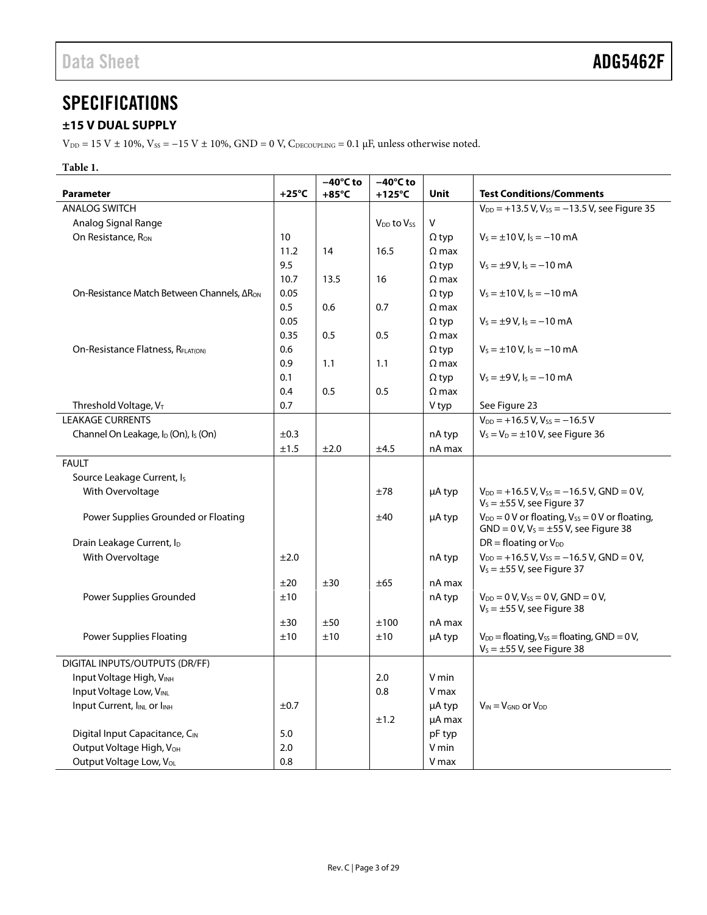## <span id="page-2-0"></span>**SPECIFICATIONS**

### <span id="page-2-1"></span>**±15 V DUAL SUPPLY**

V<sub>DD</sub> = 15 V ± 10%, V<sub>SS</sub> = −15 V ± 10%, GND = 0 V, C<sub>DECOUPLING</sub> = 0.1 µF, unless otherwise noted.

#### **Table 1.**

|                                                              |                 | $-40^{\circ}$ C to | $-40^{\circ}$ C to   |              |                                                                                                      |
|--------------------------------------------------------------|-----------------|--------------------|----------------------|--------------|------------------------------------------------------------------------------------------------------|
| <b>Parameter</b>                                             | $+25^{\circ}$ C | $+85^{\circ}$ C    | $+125^{\circ}$ C     | Unit         | <b>Test Conditions/Comments</b>                                                                      |
| <b>ANALOG SWITCH</b>                                         |                 |                    |                      |              | $V_{DD} = +13.5 V, V_{SS} = -13.5 V,$ see Figure 35                                                  |
| Analog Signal Range                                          |                 |                    | $V_{DD}$ to $V_{SS}$ | $\vee$       |                                                                                                      |
| On Resistance, Ron                                           | 10              |                    |                      | $\Omega$ typ | $V_s = \pm 10 V$ , $I_s = -10$ mA                                                                    |
|                                                              | 11.2            | 14                 | 16.5                 | $\Omega$ max |                                                                                                      |
|                                                              | 9.5             |                    |                      | $\Omega$ typ | $V_s = \pm 9 V$ , $I_s = -10$ mA                                                                     |
|                                                              | 10.7            | 13.5               | 16                   | $\Omega$ max |                                                                                                      |
| On-Resistance Match Between Channels, ΔR <sub>ON</sub>       | 0.05            |                    |                      | $\Omega$ typ | $V_s = \pm 10 V$ , $I_s = -10$ mA                                                                    |
|                                                              | 0.5             | 0.6                | 0.7                  | $\Omega$ max |                                                                                                      |
|                                                              | 0.05            |                    |                      | $\Omega$ typ | $V_s = \pm 9 V$ , $I_s = -10$ mA                                                                     |
|                                                              | 0.35            | 0.5                | 0.5                  | $\Omega$ max |                                                                                                      |
| On-Resistance Flatness, RFLAT(ON)                            | 0.6             |                    |                      | $\Omega$ typ | $V_s = \pm 10 V$ , $I_s = -10$ mA                                                                    |
|                                                              | 0.9             | 1.1                | 1.1                  | $\Omega$ max |                                                                                                      |
|                                                              | 0.1             |                    |                      | $\Omega$ typ | $V_s = \pm 9 V$ , $I_s = -10$ mA                                                                     |
|                                                              | 0.4             | 0.5                | 0.5                  | $\Omega$ max |                                                                                                      |
| Threshold Voltage, VT                                        | 0.7             |                    |                      | V typ        | See Figure 23                                                                                        |
| <b>LEAKAGE CURRENTS</b>                                      |                 |                    |                      |              | $V_{DD}$ = +16.5 V, V <sub>ss</sub> = -16.5 V                                                        |
| Channel On Leakage, I <sub>D</sub> (On), I <sub>S</sub> (On) | ±0.3            |                    |                      | nA typ       | $V_s = V_D = \pm 10 V$ , see Figure 36                                                               |
|                                                              | ±1.5            | ±2.0               | $\pm 4.5$            | nA max       |                                                                                                      |
| <b>FAULT</b>                                                 |                 |                    |                      |              |                                                                                                      |
| Source Leakage Current, Is                                   |                 |                    |                      |              |                                                                                                      |
| With Overvoltage                                             |                 |                    | ±78                  | µA typ       | $V_{DD}$ = +16.5 V, V <sub>ss</sub> = -16.5 V, GND = 0 V,<br>$V_s = \pm 55$ V, see Figure 37         |
| Power Supplies Grounded or Floating                          |                 |                    | ±40                  | µA typ       | $V_{DD} = 0$ V or floating, $V_{SS} = 0$ V or floating,<br>$GND = 0 V, VS = \pm 55 V,$ see Figure 38 |
| Drain Leakage Current, I <sub>D</sub>                        |                 |                    |                      |              | $DR = floating$ or $V_{DD}$                                                                          |
| With Overvoltage                                             | ±2.0            |                    |                      | nA typ       | $V_{DD}$ = +16.5 V, V <sub>ss</sub> = -16.5 V, GND = 0 V,<br>$V_s = \pm 55$ V, see Figure 37         |
|                                                              | ±20             | ±30                | ±65                  | nA max       |                                                                                                      |
| Power Supplies Grounded                                      | ±10             |                    |                      | nA typ       | $V_{DD} = 0 V, V_{SS} = 0 V, GND = 0 V,$                                                             |
|                                                              |                 |                    |                      |              | $V_s = \pm 55$ V, see Figure 38                                                                      |
|                                                              | ±30             | ±50                | ±100                 | nA max       |                                                                                                      |
| <b>Power Supplies Floating</b>                               | ±10             | ±10                | ±10                  | µA typ       | $V_{DD}$ = floating, $V_{SS}$ = floating, GND = 0 V,<br>$V_s = \pm 55$ V, see Figure 38              |
| DIGITAL INPUTS/OUTPUTS (DR/FF)                               |                 |                    |                      |              |                                                                                                      |
| Input Voltage High, VINH                                     |                 |                    | 2.0                  | V min        |                                                                                                      |
| Input Voltage Low, VINL                                      |                 |                    | 0.8                  | V max        |                                                                                                      |
| Input Current, I <sub>INL</sub> or I <sub>INH</sub>          | ±0.7            |                    |                      | µA typ       | $V_{IN} = V_{GND}$ or $V_{DD}$                                                                       |
|                                                              |                 |                    | ±1.2                 | µA max       |                                                                                                      |
| Digital Input Capacitance, CIN                               | 5.0             |                    |                      | pF typ       |                                                                                                      |
| Output Voltage High, V <sub>OH</sub>                         | 2.0             |                    |                      | V min        |                                                                                                      |
| Output Voltage Low, V <sub>OL</sub>                          | 0.8             |                    |                      | V max        |                                                                                                      |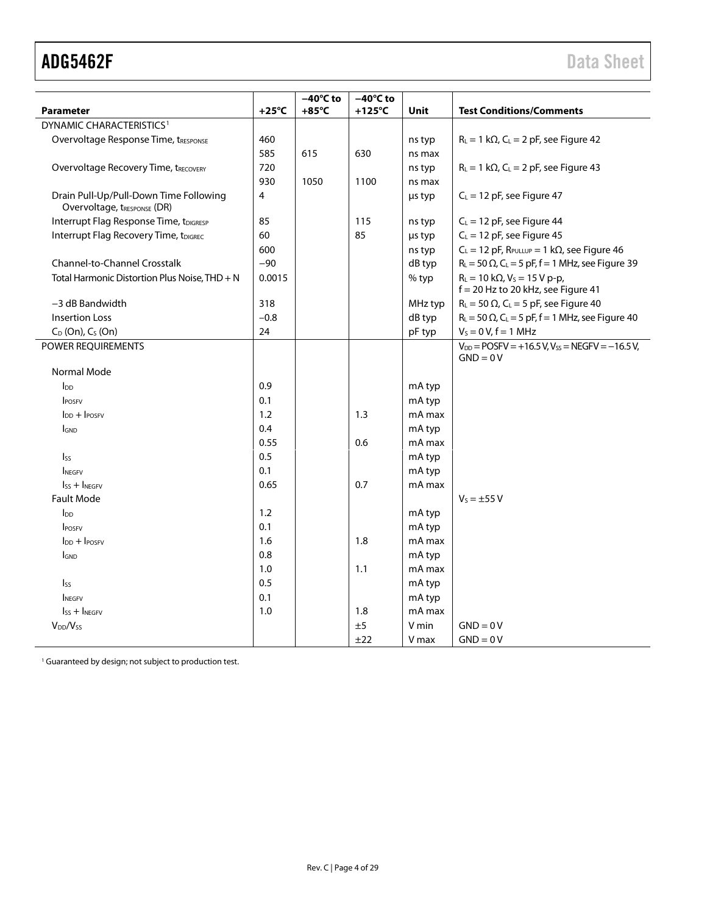|                                                                       |                 | $-40^{\circ}$ C to | $-40^{\circ}$ C to |             |                                                                                                 |
|-----------------------------------------------------------------------|-----------------|--------------------|--------------------|-------------|-------------------------------------------------------------------------------------------------|
| <b>Parameter</b>                                                      | $+25^{\circ}$ C | $+85^{\circ}$ C    | $+125^{\circ}$ C   | <b>Unit</b> | <b>Test Conditions/Comments</b>                                                                 |
| DYNAMIC CHARACTERISTICS <sup>1</sup>                                  |                 |                    |                    |             |                                                                                                 |
| Overvoltage Response Time, tRESPONSE                                  | 460             |                    |                    | ns typ      | $R_L = 1 k\Omega$ , C <sub>L</sub> = 2 pF, see Figure 42                                        |
|                                                                       | 585             | 615                | 630                | ns max      |                                                                                                 |
| <b>Overvoltage Recovery Time, tRECOVERY</b>                           | 720             |                    |                    | ns typ      | $R_L = 1 k\Omega$ , C <sub>L</sub> = 2 pF, see Figure 43                                        |
|                                                                       | 930             | 1050               | 1100               | ns max      |                                                                                                 |
| Drain Pull-Up/Pull-Down Time Following<br>Overvoltage, tRESPONSE (DR) | $\overline{4}$  |                    |                    | us typ      | $C_L = 12$ pF, see Figure 47                                                                    |
| Interrupt Flag Response Time, tDIGRESP                                | 85              |                    | 115                | ns typ      | $C_L = 12$ pF, see Figure 44                                                                    |
| Interrupt Flag Recovery Time, tDIGREC                                 | 60              |                    | 85                 | us typ      | $C_L = 12$ pF, see Figure 45                                                                    |
|                                                                       | 600             |                    |                    | ns typ      | $C_L = 12$ pF, $R_{PULLUP} = 1$ k $\Omega$ , see Figure 46                                      |
| Channel-to-Channel Crosstalk                                          | $-90$           |                    |                    | dB typ      | $R_L$ = 50 $\Omega$ , C <sub>L</sub> = 5 pF, f = 1 MHz, see Figure 39                           |
| Total Harmonic Distortion Plus Noise, THD + N                         | 0.0015          |                    |                    | % typ       | $R_L = 10 \text{ k}\Omega$ , $V_S = 15 \text{ V p-p}$ ,<br>$f = 20$ Hz to 20 kHz, see Figure 41 |
| -3 dB Bandwidth                                                       | 318             |                    |                    | MHz typ     | $R_L$ = 50 $\Omega$ , C <sub>L</sub> = 5 pF, see Figure 40                                      |
| <b>Insertion Loss</b>                                                 | $-0.8$          |                    |                    | dB typ      | $R_L$ = 50 $\Omega$ , C <sub>L</sub> = 5 pF, f = 1 MHz, see Figure 40                           |
| $C_D$ (On), $C_S$ (On)                                                | 24              |                    |                    | pF typ      | $V_s = 0 V, f = 1 MHz$                                                                          |
| POWER REQUIREMENTS                                                    |                 |                    |                    |             | $V_{DD}$ = POSFV = +16.5 V, Vss = NEGFV = -16.5 V,<br>$GND = 0V$                                |
| Normal Mode                                                           |                 |                    |                    |             |                                                                                                 |
| $I_{DD}$                                                              | 0.9             |                    |                    | mA typ      |                                                                                                 |
| POSFV                                                                 | 0.1             |                    |                    | mA typ      |                                                                                                 |
| $IDD + IPOSEV$                                                        | 1.2             |                    | 1.3                | mA max      |                                                                                                 |
| <b>GND</b>                                                            | 0.4             |                    |                    | mA typ      |                                                                                                 |
|                                                                       | 0.55            |                    | 0.6                | mA max      |                                                                                                 |
| $\mathsf{lss}$                                                        | 0.5             |                    |                    | mA typ      |                                                                                                 |
| <b>NEGEV</b>                                                          | 0.1             |                    |                    | mA typ      |                                                                                                 |
| $\mathsf{lss}$ + $\mathsf{l}$ <sub>NEGFV</sub>                        | 0.65            |                    | 0.7                | mA max      |                                                                                                 |
| <b>Fault Mode</b>                                                     |                 |                    |                    |             | $V_5 = \pm 55 V$                                                                                |
| ln <sub>D</sub>                                                       | 1.2             |                    |                    | mA typ      |                                                                                                 |
| <b>IPOSEV</b>                                                         | 0.1             |                    |                    | mA typ      |                                                                                                 |
| $I_{DD}$ + $I_{POSFV}$                                                | 1.6             |                    | 1.8                | mA max      |                                                                                                 |
| <b>IGND</b>                                                           | 0.8             |                    |                    | mA typ      |                                                                                                 |
|                                                                       | 1.0             |                    | 1.1                | mA max      |                                                                                                 |
| $I_{SS}$                                                              | 0.5             |                    |                    | mA typ      |                                                                                                 |
| <b>NEGFV</b>                                                          | 0.1             |                    |                    | mA typ      |                                                                                                 |
| $\mathsf{lss}$ + $\mathsf{l}$ <sub>NEGFV</sub>                        | 1.0             |                    | 1.8                | mA max      |                                                                                                 |
| V <sub>DD</sub> /V <sub>ss</sub>                                      |                 |                    | ±5                 | V min       | $GND = 0V$                                                                                      |
|                                                                       |                 |                    | ±22                | V max       | $GND = 0V$                                                                                      |

<sup>1</sup> Guaranteed by design; not subject to production test.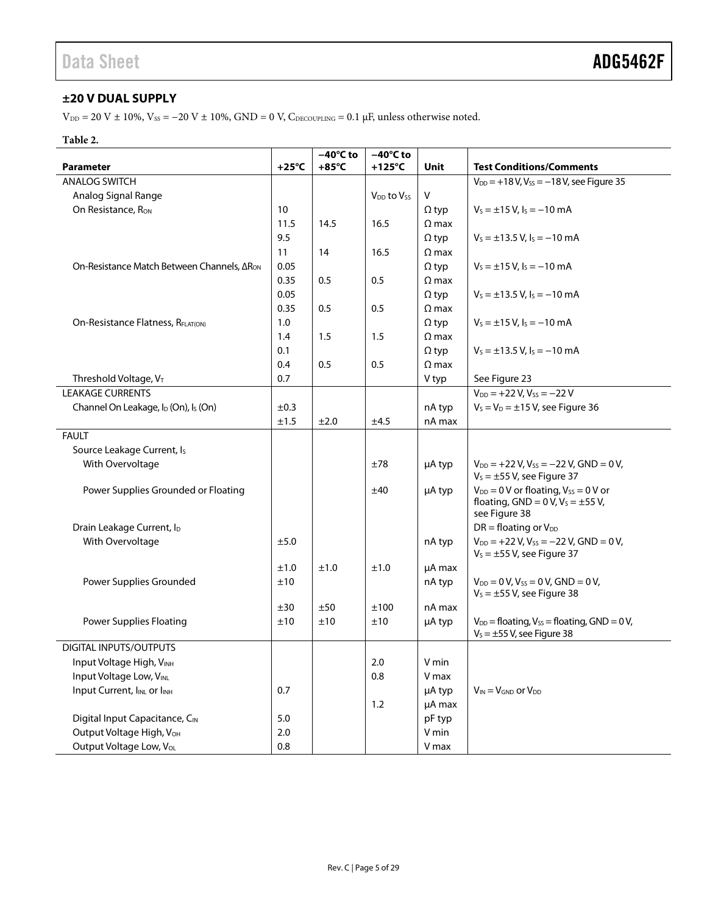### <span id="page-4-0"></span>**±20 V DUAL SUPPLY**

V<sub>DD</sub> = 20 V ± 10%, V<sub>SS</sub> = -20 V ± 10%, GND = 0 V, C<sub>DECOUPLING</sub> = 0.1 μF, unless otherwise noted.

#### **Table 2.**

|                                                              |                 | $-40^{\circ}$ C to | $-40^{\circ}$ C to                 |              |                                                                                                              |
|--------------------------------------------------------------|-----------------|--------------------|------------------------------------|--------------|--------------------------------------------------------------------------------------------------------------|
| <b>Parameter</b>                                             | $+25^{\circ}$ C | $+85^{\circ}$ C    | $+125^{\circ}$ C                   | Unit         | <b>Test Conditions/Comments</b>                                                                              |
| <b>ANALOG SWITCH</b>                                         |                 |                    |                                    |              | $V_{DD} = +18 V, V_{SS} = -18 V$ , see Figure 35                                                             |
| Analog Signal Range                                          |                 |                    | V <sub>DD</sub> to V <sub>ss</sub> | V            |                                                                                                              |
| On Resistance, R <sub>ON</sub>                               | 10              |                    |                                    | $\Omega$ typ | $V_s = \pm 15$ V, $I_s = -10$ mA                                                                             |
|                                                              | 11.5            | 14.5               | 16.5                               | $\Omega$ max |                                                                                                              |
|                                                              | 9.5             |                    |                                    | $\Omega$ typ | $V_s = \pm 13.5$ V, $I_s = -10$ mA                                                                           |
|                                                              | 11              | 14                 | 16.5                               | $\Omega$ max |                                                                                                              |
| On-Resistance Match Between Channels, ΔR <sub>ON</sub>       | 0.05            |                    |                                    | $\Omega$ typ | $V_s = \pm 15$ V, $I_s = -10$ mA                                                                             |
|                                                              | 0.35            | 0.5                | 0.5                                | $\Omega$ max |                                                                                                              |
|                                                              | 0.05            |                    |                                    | $\Omega$ typ | $V_s = \pm 13.5$ V, $I_s = -10$ mA                                                                           |
|                                                              | 0.35            | 0.5                | 0.5                                | $\Omega$ max |                                                                                                              |
| On-Resistance Flatness, R <sub>FLAT(ON)</sub>                | 1.0             |                    |                                    | $\Omega$ typ | $V_s = \pm 15$ V, $I_s = -10$ mA                                                                             |
|                                                              | 1.4             | 1.5                | 1.5                                | $\Omega$ max |                                                                                                              |
|                                                              | 0.1             |                    |                                    | $\Omega$ typ | $V_s = \pm 13.5$ V, $I_s = -10$ mA                                                                           |
|                                                              | 0.4             | 0.5                | 0.5                                | $\Omega$ max |                                                                                                              |
| Threshold Voltage, VT                                        | 0.7             |                    |                                    | V typ        | See Figure 23                                                                                                |
| <b>LEAKAGE CURRENTS</b>                                      |                 |                    |                                    |              | $V_{DD}$ = +22 V, V <sub>ss</sub> = -22 V                                                                    |
| Channel On Leakage, I <sub>D</sub> (On), I <sub>S</sub> (On) | ±0.3            |                    |                                    | nA typ       | $V_s = V_D = \pm 15$ V, see Figure 36                                                                        |
|                                                              | ±1.5            | ±2.0               | ±4.5                               | nA max       |                                                                                                              |
| <b>FAULT</b>                                                 |                 |                    |                                    |              |                                                                                                              |
|                                                              |                 |                    |                                    |              |                                                                                                              |
| Source Leakage Current, Is                                   |                 |                    |                                    |              |                                                                                                              |
| With Overvoltage                                             |                 |                    | ±78                                | µA typ       | $V_{DD}$ = +22 V, V <sub>ss</sub> = -22 V, GND = 0 V,<br>$V_s = \pm 55$ V, see Figure 37                     |
| Power Supplies Grounded or Floating                          |                 |                    | ±40                                | µA typ       | $V_{DD} = 0$ V or floating, $V_{SS} = 0$ V or<br>floating, $GND = 0 V$ , $V_S = \pm 55 V$ ,<br>see Figure 38 |
| Drain Leakage Current, I <sub>D</sub>                        |                 |                    |                                    |              | $DR = floating or VDD$                                                                                       |
| With Overvoltage                                             | ±5.0            |                    |                                    | nA typ       | $V_{DD}$ = +22 V, V <sub>ss</sub> = -22 V, GND = 0 V,<br>$V_s = \pm 55$ V, see Figure 37                     |
|                                                              | ±1.0            | ±1.0               | ±1.0                               | µA max       |                                                                                                              |
| Power Supplies Grounded                                      | ±10             |                    |                                    | nA typ       | $V_{DD} = 0 V$ , $V_{SS} = 0 V$ , GND = 0V,<br>$V_s = \pm 55$ V, see Figure 38                               |
|                                                              | ±30             | ±50                | ±100                               | nA max       |                                                                                                              |
| <b>Power Supplies Floating</b>                               | ±10             | ±10                | ±10                                | µA typ       | $V_{DD}$ = floating, $V_{SS}$ = floating, GND = 0 V,                                                         |
|                                                              |                 |                    |                                    |              | $V_s = \pm 55$ V, see Figure 38                                                                              |
| <b>DIGITAL INPUTS/OUTPUTS</b>                                |                 |                    |                                    |              |                                                                                                              |
| Input Voltage High, VINH                                     |                 |                    | 2.0                                | V min        |                                                                                                              |
| Input Voltage Low, VINL                                      |                 |                    | 0.8                                | V max        |                                                                                                              |
| Input Current, I <sub>INL</sub> or I <sub>INH</sub>          | 0.7             |                    |                                    | µA typ       | $V_{IN} = V_{GND}$ or $V_{DD}$                                                                               |
|                                                              |                 |                    | 1.2                                | µA max       |                                                                                                              |
| Digital Input Capacitance, CIN                               | 5.0             |                    |                                    | pF typ       |                                                                                                              |
| Output Voltage High, VOH                                     | 2.0             |                    |                                    | V min        |                                                                                                              |
| Output Voltage Low, VoL                                      | 0.8             |                    |                                    | V max        |                                                                                                              |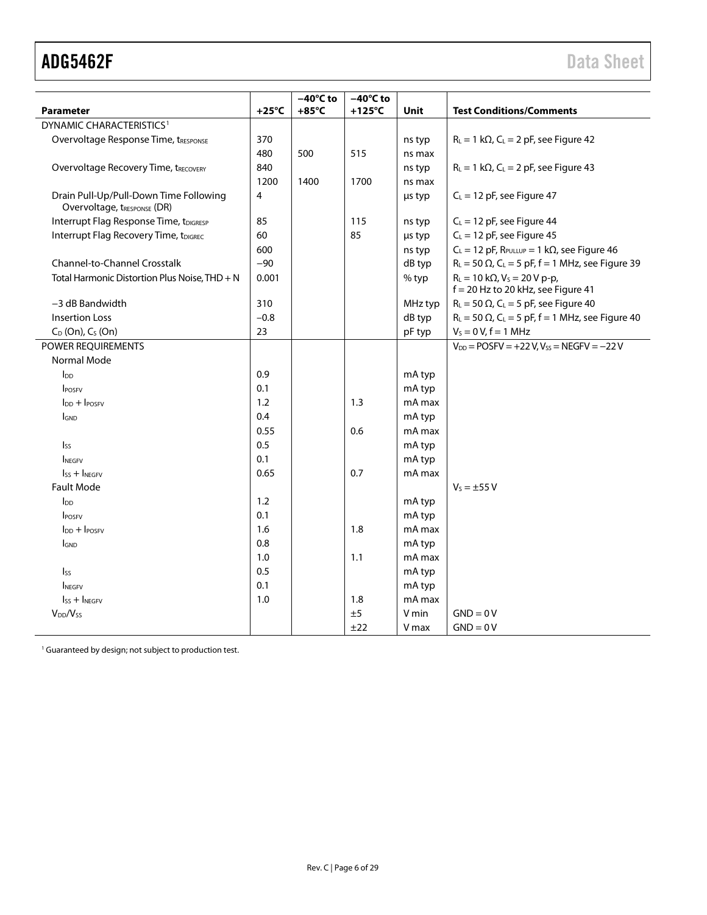| <b>Parameter</b>                                                      | $+25^{\circ}$ C | $-40^{\circ}$ C to<br>$+85^{\circ}$ C | $-40^{\circ}$ C to<br>$+125^{\circ}$ C | Unit    | <b>Test Conditions/Comments</b>                                                 |
|-----------------------------------------------------------------------|-----------------|---------------------------------------|----------------------------------------|---------|---------------------------------------------------------------------------------|
| DYNAMIC CHARACTERISTICS <sup>1</sup>                                  |                 |                                       |                                        |         |                                                                                 |
| Overvoltage Response Time, tRESPONSE                                  | 370             |                                       |                                        | ns typ  | $R_L = 1 k\Omega$ , $C_L = 2 pF$ , see Figure 42                                |
|                                                                       | 480             | 500                                   | 515                                    | ns max  |                                                                                 |
| <b>Overvoltage Recovery Time, tRECOVERY</b>                           | 840             |                                       |                                        | ns typ  | $R_L = 1 k\Omega$ , $C_L = 2 pF$ , see Figure 43                                |
|                                                                       | 1200            | 1400                                  | 1700                                   | ns max  |                                                                                 |
| Drain Pull-Up/Pull-Down Time Following<br>Overvoltage, tRESPONSE (DR) | 4               |                                       |                                        | µs typ  | $C_L = 12$ pF, see Figure 47                                                    |
| Interrupt Flag Response Time, tDIGRESP                                | 85              |                                       | 115                                    | ns typ  | $C_L = 12$ pF, see Figure 44                                                    |
| Interrupt Flag Recovery Time, tDIGREC                                 | 60              |                                       | 85                                     | µs typ  | $C_L = 12$ pF, see Figure 45                                                    |
|                                                                       | 600             |                                       |                                        | ns typ  | $C_L = 12$ pF, $R_{PULLUP} = 1$ k $\Omega$ , see Figure 46                      |
| <b>Channel-to-Channel Crosstalk</b>                                   | $-90$           |                                       |                                        | dB typ  | $R_L$ = 50 $\Omega$ , C <sub>L</sub> = 5 pF, f = 1 MHz, see Figure 39           |
| Total Harmonic Distortion Plus Noise, THD + N                         | 0.001           |                                       |                                        | % typ   | $R_L = 10 k\Omega$ , $V_S = 20 V p-p$ ,<br>$f = 20$ Hz to 20 kHz, see Figure 41 |
| -3 dB Bandwidth                                                       | 310             |                                       |                                        | MHz typ | $R_L$ = 50 $\Omega$ , C <sub>L</sub> = 5 pF, see Figure 40                      |
| <b>Insertion Loss</b>                                                 | $-0.8$          |                                       |                                        | dB typ  | $R_L$ = 50 $\Omega$ , C <sub>L</sub> = 5 pF, f = 1 MHz, see Figure 40           |
| $C_D$ (On), $C_S$ (On)                                                | 23              |                                       |                                        | pF typ  | $V_s = 0 V, f = 1 MHz$                                                          |
| POWER REQUIREMENTS                                                    |                 |                                       |                                        |         | $V_{DD}$ = POSFV = +22 V, Vss = NEGFV = -22 V                                   |
| Normal Mode                                                           |                 |                                       |                                        |         |                                                                                 |
| $I_{DD}$                                                              | 0.9             |                                       |                                        | mA typ  |                                                                                 |
| <b>IPOSFV</b>                                                         | 0.1             |                                       |                                        | mA typ  |                                                                                 |
| $Inp + IPOSFV$                                                        | 1.2             |                                       | 1.3                                    | mA max  |                                                                                 |
| <b>GND</b>                                                            | 0.4             |                                       |                                        | mA typ  |                                                                                 |
|                                                                       | 0.55            |                                       | 0.6                                    | mA max  |                                                                                 |
| <b>Iss</b>                                                            | 0.5             |                                       |                                        | mA typ  |                                                                                 |
| <b>INEGEV</b>                                                         | 0.1             |                                       |                                        | mA typ  |                                                                                 |
| $\mathsf{lss}$ + $\mathsf{l}$ <sub>NEGEV</sub>                        | 0.65            |                                       | 0.7                                    | mA max  |                                                                                 |
| <b>Fault Mode</b>                                                     |                 |                                       |                                        |         | $V_5 = \pm 55 V$                                                                |
| $\mathsf{In}$                                                         | 1.2             |                                       |                                        | mA typ  |                                                                                 |
| <b>IPOSEV</b>                                                         | 0.1             |                                       |                                        | mA typ  |                                                                                 |
| $\ln$ + $\ln$ $\ln$                                                   | 1.6             |                                       | 1.8                                    | mA max  |                                                                                 |
| <b>I</b> GND                                                          | 0.8             |                                       |                                        | mA typ  |                                                                                 |
|                                                                       | 1.0             |                                       | 1.1                                    | mA max  |                                                                                 |
| $I_{SS}$                                                              | 0.5             |                                       |                                        | mA typ  |                                                                                 |
| <b>INEGFV</b>                                                         | 0.1             |                                       |                                        | mA typ  |                                                                                 |
| $\mathsf{lss}$ + $\mathsf{l}$ <sub>NEGFV</sub>                        | 1.0             |                                       | 1.8                                    | mA max  |                                                                                 |
| V <sub>DD</sub> /V <sub>ss</sub>                                      |                 |                                       | ±5                                     | V min   | $GND = 0V$                                                                      |
|                                                                       |                 |                                       | ±22                                    | V max   | $GND = 0V$                                                                      |

<sup>1</sup> Guaranteed by design; not subject to production test.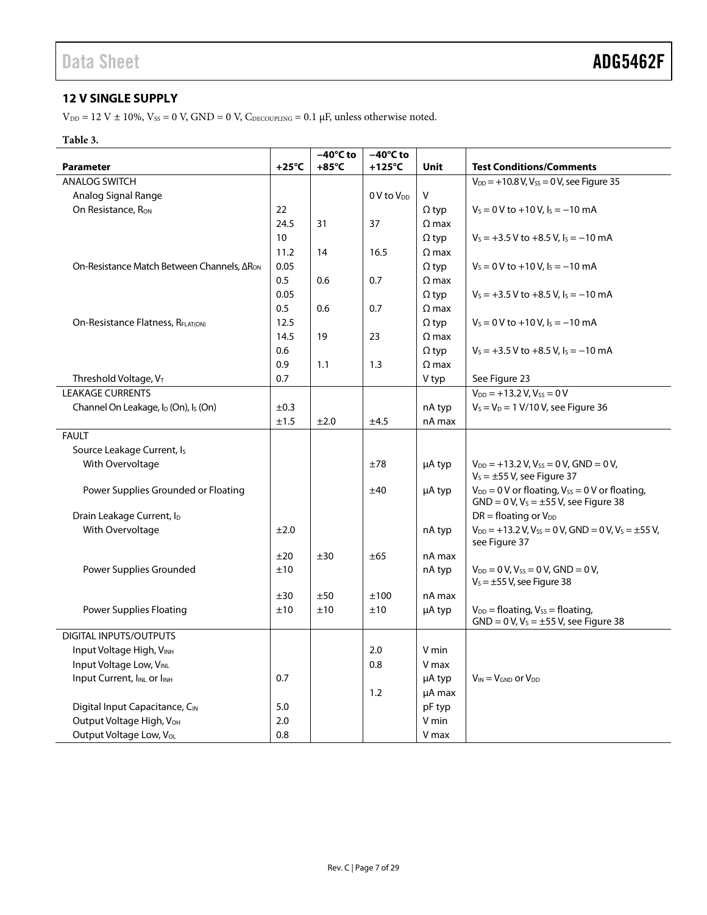### <span id="page-6-0"></span>**12 V SINGLE SUPPLY**

 $\rm{V_{\rm DD}}$  = 12 V  $\pm$  10%,  $\rm{V_{SS}}$  = 0 V, GND = 0 V,  $\rm{C_{\rm DECOUPLING}}$  = 0.1  $\rm{\mu{}F},$  unless otherwise noted.

### **Table 3.**

|                                                              |                 | $-40^{\circ}$ C to | $-40^{\circ}$ C to |              |                                                                                                |
|--------------------------------------------------------------|-----------------|--------------------|--------------------|--------------|------------------------------------------------------------------------------------------------|
| <b>Parameter</b>                                             | $+25^{\circ}$ C | $+85^{\circ}$ C    | $+125^{\circ}$ C   | <b>Unit</b>  | <b>Test Conditions/Comments</b>                                                                |
| <b>ANALOG SWITCH</b>                                         |                 |                    |                    |              | $V_{DD} = +10.8 V, V_{SS} = 0 V,$ see Figure 35                                                |
| Analog Signal Range                                          |                 |                    | $0V$ to $V_{DD}$   | $\mathsf{V}$ |                                                                                                |
| On Resistance, R <sub>ON</sub>                               | 22              |                    |                    | $\Omega$ typ | $V_s = 0$ V to +10 V, $I_s = -10$ mA                                                           |
|                                                              | 24.5            | 31                 | 37                 | $\Omega$ max |                                                                                                |
|                                                              | 10 <sup>°</sup> |                    |                    | $\Omega$ typ | $V_s = +3.5 V$ to $+8.5 V$ , $I_s = -10$ mA                                                    |
|                                                              | 11.2            | 14                 | 16.5               | $\Omega$ max |                                                                                                |
| On-Resistance Match Between Channels, ΔR <sub>ON</sub>       | 0.05            |                    |                    | $\Omega$ typ | $V_s = 0 V$ to +10 V, $I_s = -10$ mA                                                           |
|                                                              | 0.5             | 0.6                | 0.7                | $\Omega$ max |                                                                                                |
|                                                              | 0.05            |                    |                    | $\Omega$ typ | $V_s = +3.5 V$ to $+8.5 V$ , $I_s = -10$ mA                                                    |
|                                                              | 0.5             | 0.6                | 0.7                | $\Omega$ max |                                                                                                |
| On-Resistance Flatness, RELATIONI                            | 12.5            |                    |                    | $\Omega$ typ | $V_s = 0 V$ to +10 V, $I_s = -10$ mA                                                           |
|                                                              | 14.5            | 19                 | 23                 | $\Omega$ max |                                                                                                |
|                                                              | 0.6             |                    |                    | $\Omega$ typ | $V_s = +3.5 V$ to $+8.5 V_t$ , $I_s = -10$ mA                                                  |
|                                                              | 0.9             | 1.1                | 1.3                | $\Omega$ max |                                                                                                |
| Threshold Voltage, VT                                        | 0.7             |                    |                    | V typ        | See Figure 23                                                                                  |
| <b>LEAKAGE CURRENTS</b>                                      |                 |                    |                    |              | $V_{DD} = +13.2 V, V_{SS} = 0 V$                                                               |
| Channel On Leakage, I <sub>D</sub> (On), I <sub>S</sub> (On) | ±0.3            |                    |                    | nA typ       | $V_s = V_D = 1 \text{ V}/10 \text{ V}$ , see Figure 36                                         |
|                                                              | ±1.5            | ±2.0               | ±4.5               | nA max       |                                                                                                |
| <b>FAULT</b>                                                 |                 |                    |                    |              |                                                                                                |
| Source Leakage Current, I <sub>s</sub>                       |                 |                    |                    |              |                                                                                                |
| With Overvoltage                                             |                 |                    | ±78                | µA typ       | $V_{DD} = +13.2 V, V_{SS} = 0 V, GND = 0 V,$                                                   |
|                                                              |                 |                    |                    |              | $V_s = \pm 55$ V, see Figure 37                                                                |
| Power Supplies Grounded or Floating                          |                 |                    | ±40                | μA typ       | $V_{DD} = 0$ V or floating, $V_{SS} = 0$ V or floating,                                        |
|                                                              |                 |                    |                    |              | $GND = 0 V, VS = \pm 55 V,$ see Figure 38                                                      |
| Drain Leakage Current, ID                                    |                 |                    |                    |              | $DR =$ floating or $V_{DD}$                                                                    |
| With Overvoltage                                             | ±2.0            |                    |                    | nA typ       | $V_{DD}$ = +13.2 V, V <sub>ss</sub> = 0 V, GND = 0 V, V <sub>s</sub> = ±55 V,<br>see Figure 37 |
|                                                              | ±20             | ±30                | ±65                | nA max       |                                                                                                |
| Power Supplies Grounded                                      | ±10             |                    |                    | nA typ       | $V_{DD} = 0 V$ , $V_{SS} = 0 V$ , GND = 0V,<br>$V_s = \pm 55$ V, see Figure 38                 |
|                                                              | ±30             | ±50                | ±100               | nA max       |                                                                                                |
| <b>Power Supplies Floating</b>                               | ±10             | ±10                | ±10                | µA typ       | $V_{DD}$ = floating, $V_{SS}$ = floating,                                                      |
|                                                              |                 |                    |                    |              | $GND = 0 V, VS = ±55 V,$ see Figure 38                                                         |
| DIGITAL INPUTS/OUTPUTS                                       |                 |                    |                    |              |                                                                                                |
| Input Voltage High, VINH                                     |                 |                    | 2.0                | V min        |                                                                                                |
| Input Voltage Low, VINL                                      |                 |                    | 0.8                | V max        |                                                                                                |
| Input Current, IINL or IINH                                  | 0.7             |                    |                    | µA typ       | $V_{IN} = V_{GND}$ or $V_{DD}$                                                                 |
|                                                              |                 |                    | 1.2                | µA max       |                                                                                                |
| Digital Input Capacitance, CIN                               | 5.0             |                    |                    | pF typ       |                                                                                                |
| Output Voltage High, V <sub>OH</sub>                         | 2.0             |                    |                    | V min        |                                                                                                |
| Output Voltage Low, Vol.                                     | 0.8             |                    |                    | V max        |                                                                                                |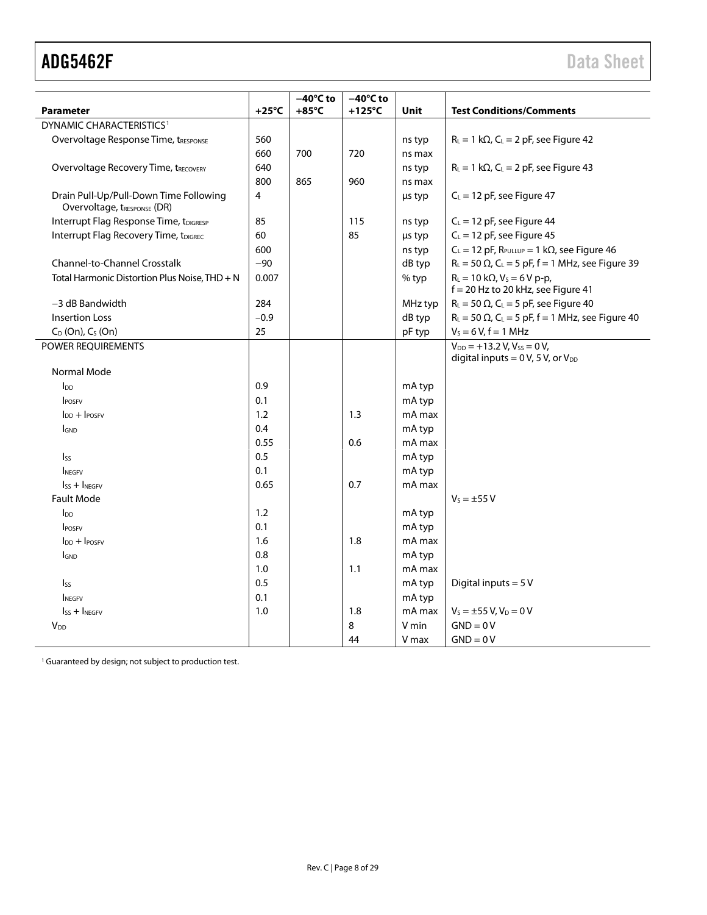|                                                                       |                 | $-40^{\circ}$ C to | $-40^{\circ}$ C to |             |                                                                                        |
|-----------------------------------------------------------------------|-----------------|--------------------|--------------------|-------------|----------------------------------------------------------------------------------------|
| <b>Parameter</b>                                                      | $+25^{\circ}$ C | $+85^{\circ}$ C    | $+125^{\circ}$ C   | <b>Unit</b> | <b>Test Conditions/Comments</b>                                                        |
| DYNAMIC CHARACTERISTICS <sup>1</sup>                                  |                 |                    |                    |             |                                                                                        |
| Overvoltage Response Time, tRESPONSE                                  | 560             |                    |                    | ns typ      | $R_L = 1 k\Omega$ , C <sub>L</sub> = 2 pF, see Figure 42                               |
|                                                                       | 660             | 700                | 720                | ns max      |                                                                                        |
| <b>Overvoltage Recovery Time, tRECOVERY</b>                           | 640             |                    |                    | ns typ      | $R_L = 1 k\Omega$ , C <sub>L</sub> = 2 pF, see Figure 43                               |
|                                                                       | 800             | 865                | 960                | ns max      |                                                                                        |
| Drain Pull-Up/Pull-Down Time Following<br>Overvoltage, tRESPONSE (DR) | 4               |                    |                    | us typ      | $C_L = 12$ pF, see Figure 47                                                           |
| Interrupt Flag Response Time, tDIGRESP                                | 85              |                    | 115                | ns typ      | $C_L = 12$ pF, see Figure 44                                                           |
| Interrupt Flag Recovery Time, tDIGREC                                 | 60              |                    | 85                 | µs typ      | $C_L = 12$ pF, see Figure 45                                                           |
|                                                                       | 600             |                    |                    | ns typ      | $C_L = 12$ pF, $R_{PULLUP} = 1$ k $\Omega$ , see Figure 46                             |
| Channel-to-Channel Crosstalk                                          | $-90$           |                    |                    | dB typ      | $R_L$ = 50 $\Omega$ , C <sub>L</sub> = 5 pF, f = 1 MHz, see Figure 39                  |
| Total Harmonic Distortion Plus Noise, THD + N                         | 0.007           |                    |                    | % typ       | $R_L = 10 k\Omega$ , $V_S = 6 V p-p$ ,<br>$f = 20$ Hz to 20 kHz, see Figure 41         |
| $-3$ dB Bandwidth                                                     | 284             |                    |                    | MHz typ     | $R_L$ = 50 $\Omega$ , C <sub>L</sub> = 5 pF, see Figure 40                             |
| <b>Insertion Loss</b>                                                 | $-0.9$          |                    |                    | dB typ      | $R_L$ = 50 $\Omega$ , C <sub>L</sub> = 5 pF, f = 1 MHz, see Figure 40                  |
| $C_D$ (On), $C_S$ (On)                                                | 25              |                    |                    | pF typ      | $V_s = 6 V, f = 1 MHz$                                                                 |
| POWER REQUIREMENTS                                                    |                 |                    |                    |             | $V_{DD}$ = +13.2 V, V <sub>ss</sub> = 0 V,<br>digital inputs = $0 V$ , 5V, or $V_{DD}$ |
| Normal Mode                                                           |                 |                    |                    |             |                                                                                        |
| $I_{DD}$                                                              | 0.9             |                    |                    | mA typ      |                                                                                        |
| <b>IPOSFV</b>                                                         | 0.1             |                    |                    | mA typ      |                                                                                        |
| $I_{DD} + I_{POSFV}$                                                  | 1.2             |                    | 1.3                | mA max      |                                                                                        |
| <b>IGND</b>                                                           | 0.4             |                    |                    | mA typ      |                                                                                        |
|                                                                       | 0.55            |                    | 0.6                | mA max      |                                                                                        |
| IsS                                                                   | 0.5             |                    |                    | mA typ      |                                                                                        |
| <b>INEGEV</b>                                                         | 0.1             |                    |                    | mA typ      |                                                                                        |
| $I_{SS} + I_{NEGFV}$                                                  | 0.65            |                    | 0.7                | mA max      |                                                                                        |
| <b>Fault Mode</b>                                                     |                 |                    |                    |             | $V_5 = \pm 55 V$                                                                       |
| $\mathsf{In}$                                                         | 1.2             |                    |                    | mA typ      |                                                                                        |
| <b>IPOSEV</b>                                                         | 0.1             |                    |                    | mA typ      |                                                                                        |
| $\ln$ + $\ln$                                                         | 1.6             |                    | 1.8                | mA max      |                                                                                        |
| <b>I</b> GND                                                          | 0.8             |                    |                    | mA typ      |                                                                                        |
|                                                                       | 1.0             |                    | 1.1                | mA max      |                                                                                        |
| $I_{SS}$                                                              | 0.5             |                    |                    | mA typ      | Digital inputs = $5V$                                                                  |
| <b>INEGFV</b>                                                         | 0.1             |                    |                    | mA typ      |                                                                                        |
| $\mathsf{lss}$ + INEGEV                                               | 1.0             |                    | 1.8                | mA max      | $V_S = \pm 55 V$ , $V_D = 0 V$                                                         |
| V <sub>DD</sub>                                                       |                 |                    | 8                  | V min       | $GND = 0V$                                                                             |
|                                                                       |                 |                    | 44                 | V max       | $GND = 0V$                                                                             |

<sup>1</sup> Guaranteed by design; not subject to production test.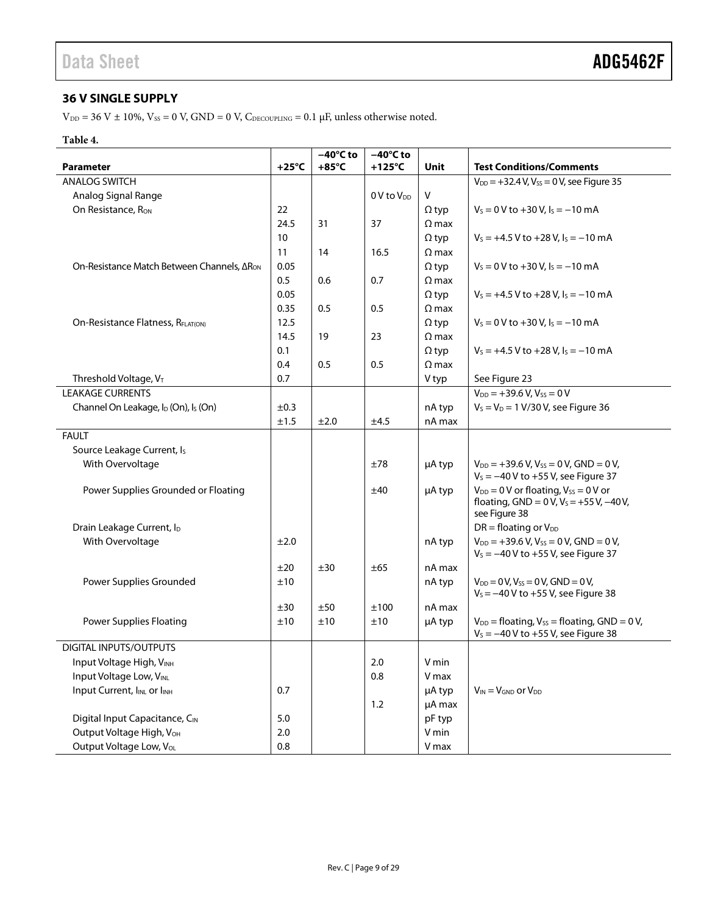### <span id="page-8-0"></span>**36 V SINGLE SUPPLY**

 $\rm{V_{\rm DD}}$  = 36 V  $\pm$  10%,  $\rm{V_{SS}}$  = 0 V, GND = 0 V,  $\rm{C_{\rm DECOUPLING}}$  = 0.1  $\rm{\mu{}F},$  unless otherwise noted.

#### **Table 4.**

|                                                              |                 | $-40^{\circ}$ C to | $-40^{\circ}$ C to |              |                                                                                               |
|--------------------------------------------------------------|-----------------|--------------------|--------------------|--------------|-----------------------------------------------------------------------------------------------|
| <b>Parameter</b>                                             | $+25^{\circ}$ C | $+85^{\circ}$ C    | $+125^{\circ}$ C   | Unit         | <b>Test Conditions/Comments</b>                                                               |
| <b>ANALOG SWITCH</b>                                         |                 |                    |                    |              | $V_{DD} = +32.4 V, V_{SS} = 0 V$ , see Figure 35                                              |
| Analog Signal Range                                          |                 |                    | $0V$ to $V_{DD}$   | V            |                                                                                               |
| On Resistance, R <sub>ON</sub>                               | 22              |                    |                    | $\Omega$ typ | $V_s = 0 V$ to +30 V, $I_s = -10$ mA                                                          |
|                                                              | 24.5            | 31                 | 37                 | $\Omega$ max |                                                                                               |
|                                                              | 10              |                    |                    | $\Omega$ typ | $V_s = +4.5 V$ to $+28 V$ , $I_s = -10$ mA                                                    |
|                                                              | 11              | 14                 | 16.5               | $\Omega$ max |                                                                                               |
| On-Resistance Match Between Channels, ΔR <sub>ON</sub>       | 0.05            |                    |                    | $\Omega$ typ | $V_s = 0$ V to +30 V, $I_s = -10$ mA                                                          |
|                                                              | 0.5             | 0.6                | 0.7                | $\Omega$ max |                                                                                               |
|                                                              | 0.05            |                    |                    | $\Omega$ typ | $V_s = +4.5 V$ to $+28 V$ , $I_s = -10$ mA                                                    |
|                                                              | 0.35            | 0.5                | 0.5                | $\Omega$ max |                                                                                               |
| On-Resistance Flatness, RFLAT(ON)                            | 12.5            |                    |                    | $\Omega$ typ | $V_s = 0$ V to +30 V, $I_s = -10$ mA                                                          |
|                                                              | 14.5            | 19                 | 23                 | $\Omega$ max |                                                                                               |
|                                                              | 0.1             |                    |                    | $\Omega$ typ | $V_s = +4.5 V$ to $+28 V$ , $I_s = -10$ mA                                                    |
|                                                              | 0.4             | 0.5                | 0.5                | $\Omega$ max |                                                                                               |
| Threshold Voltage, $V_T$                                     | 0.7             |                    |                    | V typ        | See Figure 23                                                                                 |
| <b>LEAKAGE CURRENTS</b>                                      |                 |                    |                    |              | $V_{DD} = +39.6 V, V_{SS} = 0 V$                                                              |
| Channel On Leakage, I <sub>D</sub> (On), I <sub>S</sub> (On) | ±0.3            |                    |                    | nA typ       | $V_s = V_D = 1 \text{ V}/30 \text{ V}$ , see Figure 36                                        |
|                                                              | ±1.5            | ±2.0               | ±4.5               | nA max       |                                                                                               |
| <b>FAULT</b>                                                 |                 |                    |                    |              |                                                                                               |
| Source Leakage Current, I <sub>s</sub>                       |                 |                    |                    |              |                                                                                               |
| With Overvoltage                                             |                 |                    | ±78                | µA typ       | $V_{DD}$ = +39.6 V, V <sub>ss</sub> = 0 V, GND = 0 V,                                         |
|                                                              |                 |                    |                    |              | $V_s = -40 V$ to +55 V, see Figure 37                                                         |
| Power Supplies Grounded or Floating                          |                 |                    | ±40                | µA typ       | $V_{DD} = 0$ V or floating, $V_{SS} = 0$ V or                                                 |
|                                                              |                 |                    |                    |              | floating, $GND = 0 V$ , $V_S = +55 V$ , $-40 V$ ,                                             |
|                                                              |                 |                    |                    |              | see Figure 38                                                                                 |
| Drain Leakage Current, I <sub>D</sub>                        |                 |                    |                    |              | $DR = floating$ or $V_{DD}$                                                                   |
| With Overvoltage                                             | ±2.0            |                    |                    | nA typ       | $V_{DD}$ = +39.6 V, V <sub>ss</sub> = 0 V, GND = 0 V,                                         |
|                                                              |                 |                    |                    |              | $V_s = -40 V$ to +55 V, see Figure 37                                                         |
|                                                              | ±20             | ±30                | ±65                | nA max       |                                                                                               |
| Power Supplies Grounded                                      | ±10             |                    |                    | nA typ       | $V_{DD} = 0 V$ , $V_{SS} = 0 V$ , GND = 0V,                                                   |
|                                                              |                 |                    |                    |              | $V_s = -40 V$ to +55 V, see Figure 38                                                         |
|                                                              | ±30             | ±50                | ±100               | nA max       |                                                                                               |
| <b>Power Supplies Floating</b>                               | ±10             | ±10                | ±10                | µA typ       | $V_{DD}$ = floating, $V_{SS}$ = floating, GND = 0 V,<br>$V_s = -40 V$ to +55 V, see Figure 38 |
| <b>DIGITAL INPUTS/OUTPUTS</b>                                |                 |                    |                    |              |                                                                                               |
|                                                              |                 |                    | 2.0                | V min        |                                                                                               |
| Input Voltage High, VINH                                     |                 |                    |                    |              |                                                                                               |
| Input Voltage Low, VINL                                      |                 |                    | 0.8                | V max        |                                                                                               |
| Input Current, I <sub>INL</sub> or I <sub>INH</sub>          | 0.7             |                    |                    | µA typ       | $V_{IN} = V_{GND}$ or $V_{DD}$                                                                |
|                                                              |                 |                    | 1.2                | µA max       |                                                                                               |
| Digital Input Capacitance, CIN                               | 5.0             |                    |                    | pF typ       |                                                                                               |
| Output Voltage High, V <sub>OH</sub>                         | 2.0             |                    |                    | V min        |                                                                                               |
| Output Voltage Low, VoL                                      | 0.8             |                    |                    | V max        |                                                                                               |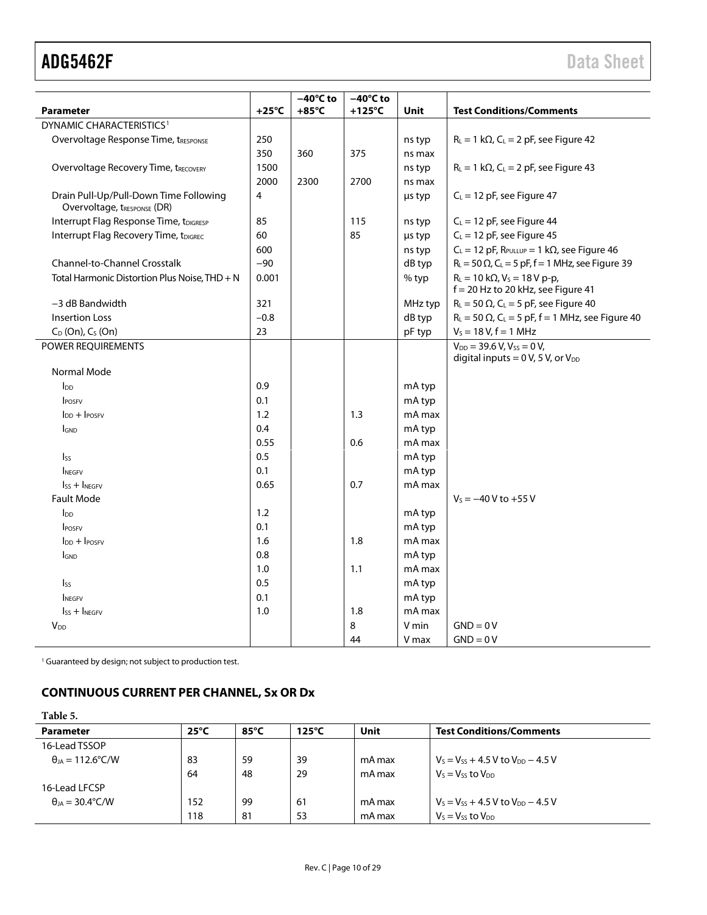|                                                                       | $+25^{\circ}C$ | $-40^{\circ}$ C to<br>$+85^{\circ}$ C | $-40^{\circ}$ C to<br>$+125^{\circ}$ C |         | <b>Test Conditions/Comments</b>                                                 |  |
|-----------------------------------------------------------------------|----------------|---------------------------------------|----------------------------------------|---------|---------------------------------------------------------------------------------|--|
| <b>Parameter</b><br>DYNAMIC CHARACTERISTICS <sup>1</sup>              |                |                                       |                                        | Unit    |                                                                                 |  |
|                                                                       |                |                                       |                                        |         |                                                                                 |  |
| Overvoltage Response Time, tRESPONSE                                  | 250<br>350     |                                       |                                        | ns typ  | $R_L = 1 k\Omega$ , C <sub>L</sub> = 2 pF, see Figure 42                        |  |
|                                                                       |                | 360                                   | 375                                    | ns max  |                                                                                 |  |
| <b>Overvoltage Recovery Time, tRECOVERY</b>                           | 1500<br>2000   |                                       |                                        | ns typ  | $R_L = 1 k\Omega$ , C <sub>L</sub> = 2 pF, see Figure 43                        |  |
|                                                                       |                | 2300                                  | 2700                                   | ns max  |                                                                                 |  |
| Drain Pull-Up/Pull-Down Time Following<br>Overvoltage, tRESPONSE (DR) | 4              |                                       |                                        | us typ  | $C_L = 12$ pF, see Figure 47                                                    |  |
| Interrupt Flag Response Time, tDIGRESP                                | 85             |                                       | 115                                    | ns typ  | $C_L = 12$ pF, see Figure 44                                                    |  |
| Interrupt Flag Recovery Time, tDIGREC                                 | 60             |                                       | 85                                     | µs typ  | $C_L = 12$ pF, see Figure 45                                                    |  |
|                                                                       | 600            |                                       |                                        | ns typ  | $C_L = 12$ pF, $R_{PULLUP} = 1$ k $\Omega$ , see Figure 46                      |  |
| Channel-to-Channel Crosstalk                                          | $-90$          |                                       |                                        | dB typ  | $R_L$ = 50 $\Omega$ , C <sub>L</sub> = 5 pF, f = 1 MHz, see Figure 39           |  |
| Total Harmonic Distortion Plus Noise, THD + N                         | 0.001          |                                       |                                        | % typ   | $R_L = 10 k\Omega$ , $V_S = 18 V p-p$ ,<br>$f = 20$ Hz to 20 kHz, see Figure 41 |  |
| $-3$ dB Bandwidth                                                     | 321            |                                       |                                        | MHz typ | $R_L$ = 50 $\Omega$ , C <sub>L</sub> = 5 pF, see Figure 40                      |  |
| <b>Insertion Loss</b>                                                 | $-0.8$         |                                       |                                        | dB typ  | $R_L$ = 50 $\Omega$ , C <sub>L</sub> = 5 pF, f = 1 MHz, see Figure 40           |  |
| $C_D$ (On), $C_S$ (On)                                                | 23             |                                       |                                        | pF typ  | $V_s = 18 V, f = 1 MHz$                                                         |  |
| POWER REQUIREMENTS                                                    |                |                                       |                                        |         | $V_{DD}$ = 39.6 V, $V_{SS}$ = 0 V,<br>digital inputs = $0 V$ , 5V, or $V_{DD}$  |  |
| Normal Mode                                                           |                |                                       |                                        |         |                                                                                 |  |
| $I_{DD}$                                                              | 0.9            |                                       |                                        | mA typ  |                                                                                 |  |
| <b>POSFV</b>                                                          | 0.1            |                                       |                                        | mA typ  |                                                                                 |  |
| $I_{DD} + I_{POSFV}$                                                  | 1.2            |                                       | 1.3                                    | mA max  |                                                                                 |  |
| <b>GND</b>                                                            | 0.4            |                                       |                                        | mA typ  |                                                                                 |  |
|                                                                       | 0.55           |                                       | 0.6                                    | mA max  |                                                                                 |  |
| <b>Iss</b>                                                            | 0.5            |                                       |                                        | mA typ  |                                                                                 |  |
| <b>INEGEV</b>                                                         | 0.1            |                                       |                                        | mA typ  |                                                                                 |  |
| $ISS + INEGFV$                                                        | 0.65           |                                       | 0.7                                    | mA max  |                                                                                 |  |
| <b>Fault Mode</b>                                                     |                |                                       |                                        |         | $V_s = -40 V$ to +55 V                                                          |  |
| $I_{DD}$                                                              | 1.2            |                                       |                                        | mA typ  |                                                                                 |  |
| <b>IPOSFV</b>                                                         | 0.1            |                                       |                                        | mA typ  |                                                                                 |  |
| $\ln$ + $\ln$                                                         | 1.6            |                                       | 1.8                                    | mA max  |                                                                                 |  |
| <b>I</b> GND                                                          | 0.8            |                                       |                                        | mA typ  |                                                                                 |  |
|                                                                       | 1.0            |                                       | 1.1                                    | mA max  |                                                                                 |  |
| $I_{SS}$                                                              | 0.5            |                                       |                                        | mA typ  |                                                                                 |  |
| <b>INEGFV</b>                                                         | 0.1            |                                       |                                        | mA typ  |                                                                                 |  |
| $ISS + INEGFV$                                                        | 1.0            |                                       | 1.8                                    | mA max  |                                                                                 |  |
| V <sub>DD</sub>                                                       |                |                                       | 8                                      | V min   | $GND = 0V$                                                                      |  |
|                                                                       |                |                                       | 44                                     | V max   | $GND = 0V$                                                                      |  |

<sup>1</sup> Guaranteed by design; not subject to production test.

### <span id="page-9-0"></span>**CONTINUOUS CURRENT PER CHANNEL, Sx OR Dx**

<span id="page-9-1"></span>

| Table 5.                          |                |                |                 |        |                                            |
|-----------------------------------|----------------|----------------|-----------------|--------|--------------------------------------------|
| <b>Parameter</b>                  | $25^{\circ}$ C | $85^{\circ}$ C | $125^{\circ}$ C | Unit   | <b>Test Conditions/Comments</b>            |
| 16-Lead TSSOP                     |                |                |                 |        |                                            |
| $\theta_{IA} = 112.6^{\circ}$ C/W | 83             | 59             | 39              | mA max | $V_s = V_{ss} + 4.5 V$ to $V_{DD} - 4.5 V$ |
|                                   | 64             | 48             | 29              | mA max | $V_s = V_{ss}$ to $V_{DD}$                 |
| 16-Lead LFCSP                     |                |                |                 |        |                                            |
| $\theta_{IA}$ = 30.4°C/W          | 152            | 99             | 61              | mA max | $V_s = V_{ss} + 4.5 V$ to $V_{DD} - 4.5 V$ |
|                                   | 118            | 81             | 53              | mA max | $V_s = V_{ss}$ to $V_{DD}$                 |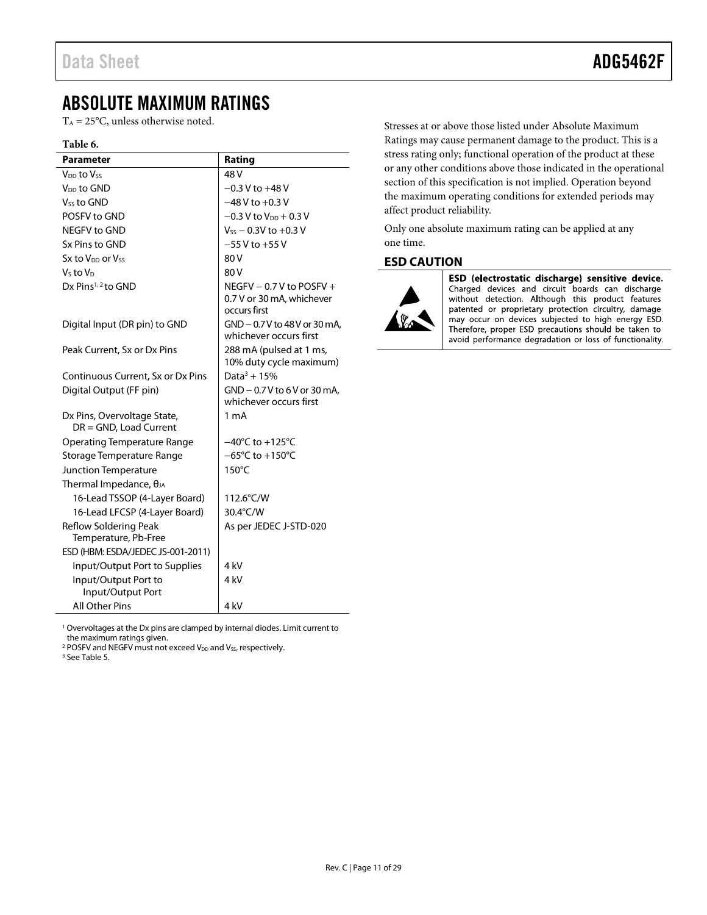### <span id="page-10-0"></span>ABSOLUTE MAXIMUM RATINGS

 $T_A = 25$ °C, unless otherwise noted.

#### **Table 6.**

| <b>Parameter</b>                                         | Rating                                                                   |
|----------------------------------------------------------|--------------------------------------------------------------------------|
| V <sub>DD</sub> to Vss                                   | 48 <sub>V</sub>                                                          |
| V <sub>DD</sub> to GND                                   | $-0.3$ V to $+48$ V                                                      |
| V <sub>ss</sub> to GND                                   | $-48$ V to $+0.3$ V                                                      |
| POSFV to GND                                             | $-0.3$ V to V <sub>pp</sub> $+0.3$ V                                     |
| NEGFV to GND                                             | $V_{ss}$ – 0.3V to +0.3 V                                                |
| Sx Pins to GND                                           | $-55$ V to $+55$ V                                                       |
| Sx to V <sub>DD</sub> or V <sub>SS</sub>                 | 80 V                                                                     |
| $Vs$ to $VD$                                             | 80 V                                                                     |
| Dx Pins <sup>1, 2</sup> to GND                           | NEGFV $-0.7$ V to POSFV $+$<br>0.7 V or 30 mA, whichever<br>occurs first |
| Digital Input (DR pin) to GND                            | GND - 0.7 V to 48 V or 30 mA,<br>whichever occurs first                  |
| Peak Current, Sx or Dx Pins                              | 288 mA (pulsed at 1 ms,<br>10% duty cycle maximum)                       |
| Continuous Current, Sx or Dx Pins                        | Data <sup>3</sup> + 15%                                                  |
| Digital Output (FF pin)                                  | GND - 0.7 V to 6 V or 30 mA.                                             |
|                                                          | whichever occurs first                                                   |
| Dx Pins, Overvoltage State,<br>$DR = GND$ , Load Current | 1 <sub>m</sub> A                                                         |
| <b>Operating Temperature Range</b>                       | $-40^{\circ}$ C to $+125^{\circ}$ C                                      |
| Storage Temperature Range                                | $-65^{\circ}$ C to +150 $^{\circ}$ C                                     |
| Junction Temperature                                     | $150^{\circ}$ C                                                          |
| Thermal Impedance, $\theta_{JA}$                         |                                                                          |
| 16-Lead TSSOP (4-Layer Board)                            | 112.6°C/W                                                                |
| 16-Lead LFCSP (4-Layer Board)                            | 30.4°C/W                                                                 |
| Reflow Soldering Peak<br>Temperature, Pb-Free            | As per JEDEC J-STD-020                                                   |
| ESD (HBM: ESDA/JEDEC JS-001-2011)                        |                                                                          |
| Input/Output Port to Supplies                            | 4 kV                                                                     |
| Input/Output Port to<br>Input/Output Port                | 4 kV                                                                     |
| <b>All Other Pins</b>                                    | 4 kV                                                                     |

Stresses at or above those listed under Absolute Maximum Ratings may cause permanent damage to the product. This is a stress rating only; functional operation of the product at these or any other conditions above those indicated in the operational section of this specification is not implied. Operation beyond the maximum operating conditions for extended periods may affect product reliability.

Only one absolute maximum rating can be applied at any one time.

#### <span id="page-10-1"></span>**ESD CAUTION**



ESD (electrostatic discharge) sensitive device. Charged devices and circuit boards can discharge without detection. Although this product features patented or proprietary protection circuitry, damage may occur on devices subjected to high energy ESD. Therefore, proper ESD precautions should be taken to avoid performance degradation or loss of functionality.

<sup>1</sup> Overvoltages at the Dx pins are clamped by internal diodes. Limit current to the maximum ratings given.

 $2$  POSFV and NEGFV must not exceed V<sub>DD</sub> and V<sub>SS</sub>, respectively.

<sup>3</sup> Se[e Table 5.](#page-9-1)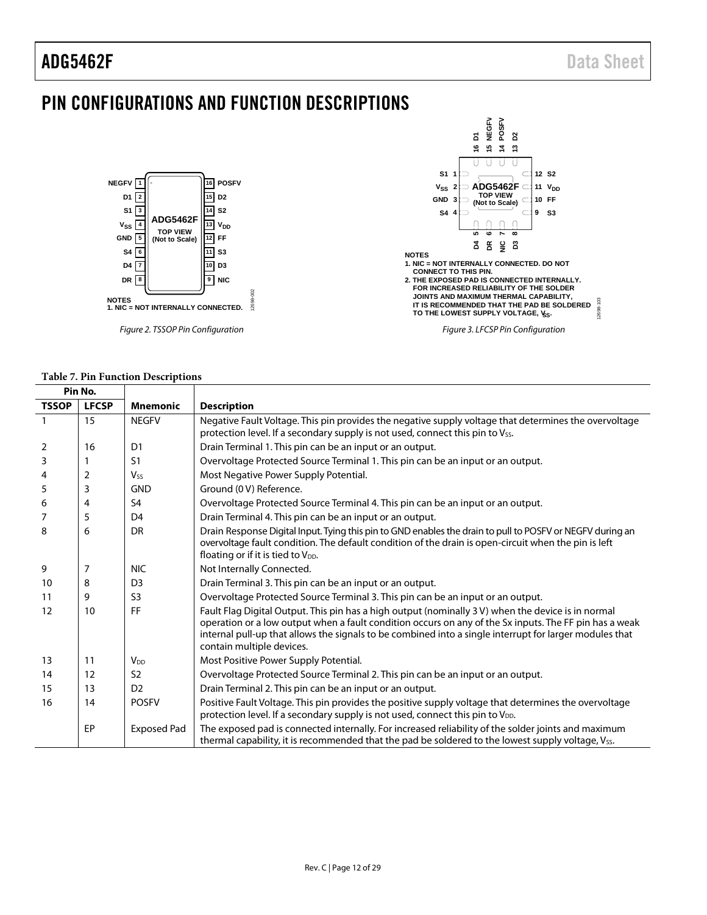### <span id="page-11-0"></span>PIN CONFIGURATIONS AND FUNCTION DESCRIPTIONS



#### **Table 7. Pin Function Descriptions**

| Pin No.      |              |                       |                                                                                                                                                                                                                                                                                                                                                      |
|--------------|--------------|-----------------------|------------------------------------------------------------------------------------------------------------------------------------------------------------------------------------------------------------------------------------------------------------------------------------------------------------------------------------------------------|
| <b>TSSOP</b> | <b>LFCSP</b> | <b>Mnemonic</b>       | <b>Description</b>                                                                                                                                                                                                                                                                                                                                   |
| $\mathbf{1}$ | 15           | <b>NEGFV</b>          | Negative Fault Voltage. This pin provides the negative supply voltage that determines the overvoltage<br>protection level. If a secondary supply is not used, connect this pin to Vss.                                                                                                                                                               |
| 2            | 16           | D <sub>1</sub>        | Drain Terminal 1. This pin can be an input or an output.                                                                                                                                                                                                                                                                                             |
| 3            |              | S <sub>1</sub>        | Overvoltage Protected Source Terminal 1. This pin can be an input or an output.                                                                                                                                                                                                                                                                      |
| 4            | 2            | <b>V<sub>ss</sub></b> | Most Negative Power Supply Potential.                                                                                                                                                                                                                                                                                                                |
| 5            | 3            | <b>GND</b>            | Ground (0 V) Reference.                                                                                                                                                                                                                                                                                                                              |
| 6            | 4            | S <sub>4</sub>        | Overvoltage Protected Source Terminal 4. This pin can be an input or an output.                                                                                                                                                                                                                                                                      |
| 7            | 5            | D <sub>4</sub>        | Drain Terminal 4. This pin can be an input or an output.                                                                                                                                                                                                                                                                                             |
| 8            | 6            | DR                    | Drain Response Digital Input. Tying this pin to GND enables the drain to pull to POSFV or NEGFV during an<br>overvoltage fault condition. The default condition of the drain is open-circuit when the pin is left<br>floating or if it is tied to V <sub>DD</sub> .                                                                                  |
| 9            | 7            | <b>NIC</b>            | Not Internally Connected.                                                                                                                                                                                                                                                                                                                            |
| 10           | 8            | D <sub>3</sub>        | Drain Terminal 3. This pin can be an input or an output.                                                                                                                                                                                                                                                                                             |
| 11           | 9            | S <sub>3</sub>        | Overvoltage Protected Source Terminal 3. This pin can be an input or an output.                                                                                                                                                                                                                                                                      |
| 12           | 10           | FF                    | Fault Flag Digital Output. This pin has a high output (nominally 3 V) when the device is in normal<br>operation or a low output when a fault condition occurs on any of the Sx inputs. The FF pin has a weak<br>internal pull-up that allows the signals to be combined into a single interrupt for larger modules that<br>contain multiple devices. |
| 13           | 11           | $V_{DD}$              | Most Positive Power Supply Potential.                                                                                                                                                                                                                                                                                                                |
| 14           | 12           | S <sub>2</sub>        | Overvoltage Protected Source Terminal 2. This pin can be an input or an output.                                                                                                                                                                                                                                                                      |
| 15           | 13           | D <sub>2</sub>        | Drain Terminal 2. This pin can be an input or an output.                                                                                                                                                                                                                                                                                             |
| 16           | 14           | <b>POSFV</b>          | Positive Fault Voltage. This pin provides the positive supply voltage that determines the overvoltage<br>protection level. If a secondary supply is not used, connect this pin to $V_{DD}$ .                                                                                                                                                         |
|              | EP           | <b>Exposed Pad</b>    | The exposed pad is connected internally. For increased reliability of the solder joints and maximum<br>thermal capability, it is recommended that the pad be soldered to the lowest supply voltage, Vss.                                                                                                                                             |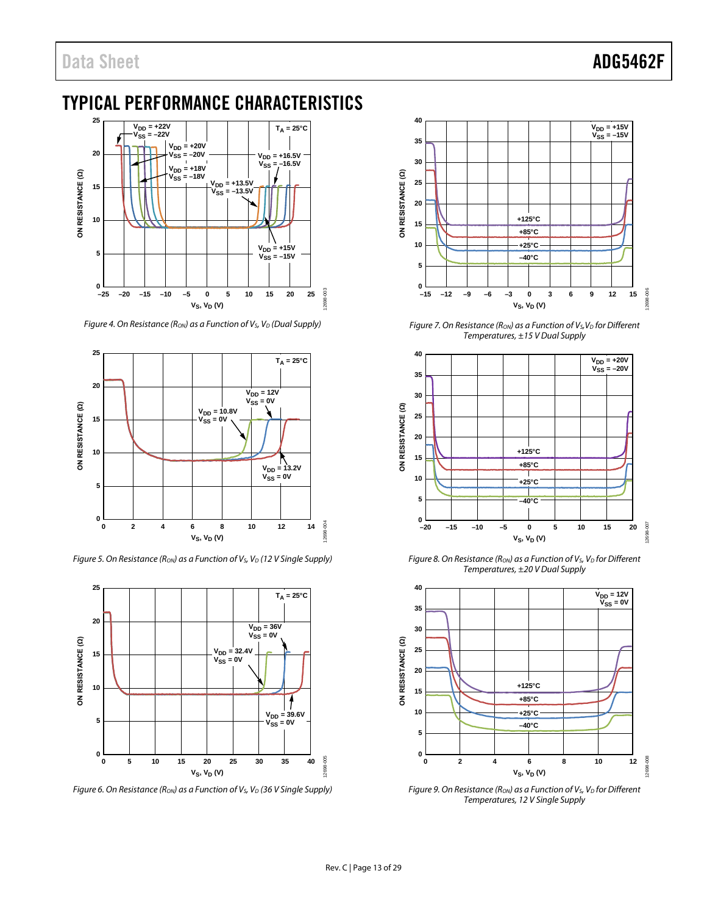## <span id="page-12-0"></span>TYPICAL PERFORMANCE CHARACTERISTICS



*Figure 4. On Resistance (Ron) as a Function of V<sub>S</sub>, V<sub>D</sub> (Dual Supply)* 



*Figure 5. On Resistance (Ron) as a Function of V<sub>s</sub>, V<sub>D</sub> (12 V Single Supply)* 



*Figure 6. On Resistance (R<sub>ON</sub>) as a Function of V<sub>S</sub>, V<sub>D</sub> (36 V Single Supply)* 



*Figure 7. On Resistance (Ron) as a Function of Vs, V<sub>D</sub> for Different Temperatures, ±15 V Dual Supply*



*Figure 8. On Resistance (Ron) as a Function of V<sub>S</sub>, V<sub>D</sub> for Different Temperatures, ±20 V Dual Supply*



*Figure 9. On Resistance (Ron) as a Function of V<sub>S</sub>, V<sub>D</sub> for Different Temperatures, 12 V Single Supply*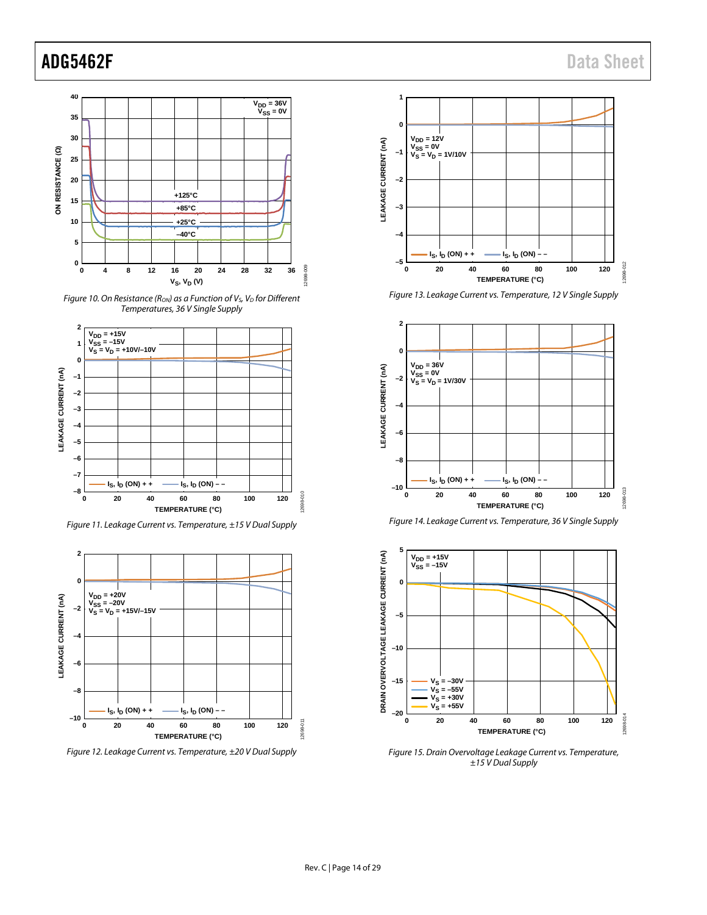





*Figure 11. Leakage Current vs. Temperature, ±15 V Dual Supply*



*Figure 12. Leakage Current vs. Temperature, ±20 V Dual Supply*



*Figure 13. Leakage Current vs. Temperature, 12 V Single Supply*







*Figure 15. Drain Overvoltage Leakage Current vs. Temperature, ±15 V Dual Supply*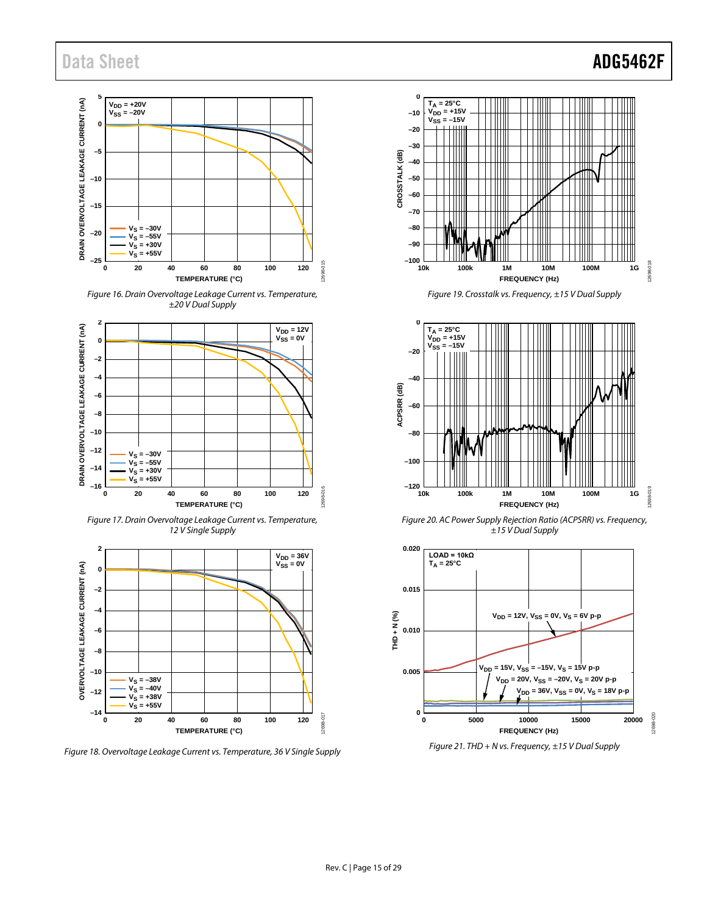#### **5** DRAIN OVERVOLTAGE LEAKAGE CURRENT (nA) **DRAIN OVERVOLTAGE LEAKAGE CURRENT (nA)** V<sub>DD</sub> = +20V<br>V<sub>SS</sub> = –20V **0 –5 –10 –15**  $V_S = -30V$ **–20**  $V_S = -55V$  $V_S = +30V$  $V_{\rm S} = +55V$ **–25** 2698-015 12698-015 **0 20 40 60 80 100 120 TEMPERATURE (°C)**

*Figure 16. Drain Overvoltage Leakage Current vs. Temperature, ±20 V Dual Supply*



*Figure 17. Drain Overvoltage Leakage Current vs. Temperature, 12 V Single Supply*



*Figure 18. Overvoltage Leakage Current vs. Temperature, 36 V Single Supply*



*Figure 19. Crosstalk vs. Frequency, ±15 V Dual Supply*



*Figure 20. AC Power Supply Rejection Ratio (ACPSRR) vs. Frequency, ±15 V Dual Supply*



*Figure 21. THD + N vs. Frequency, ±15 V Dual Supply*

## Data Sheet **ADG5462F**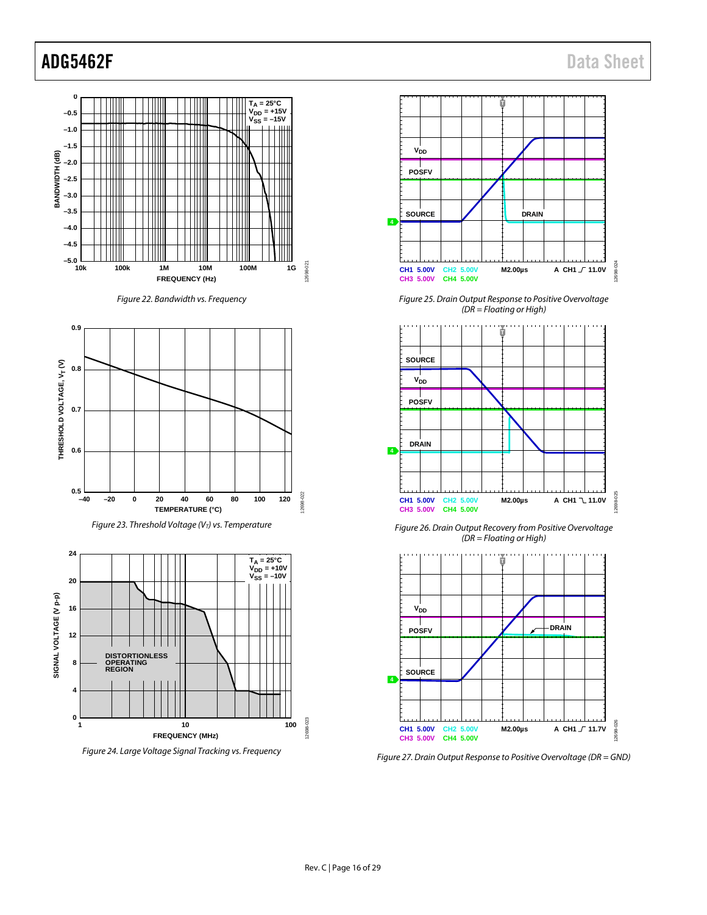<span id="page-15-3"></span><span id="page-15-2"></span><span id="page-15-1"></span><span id="page-15-0"></span>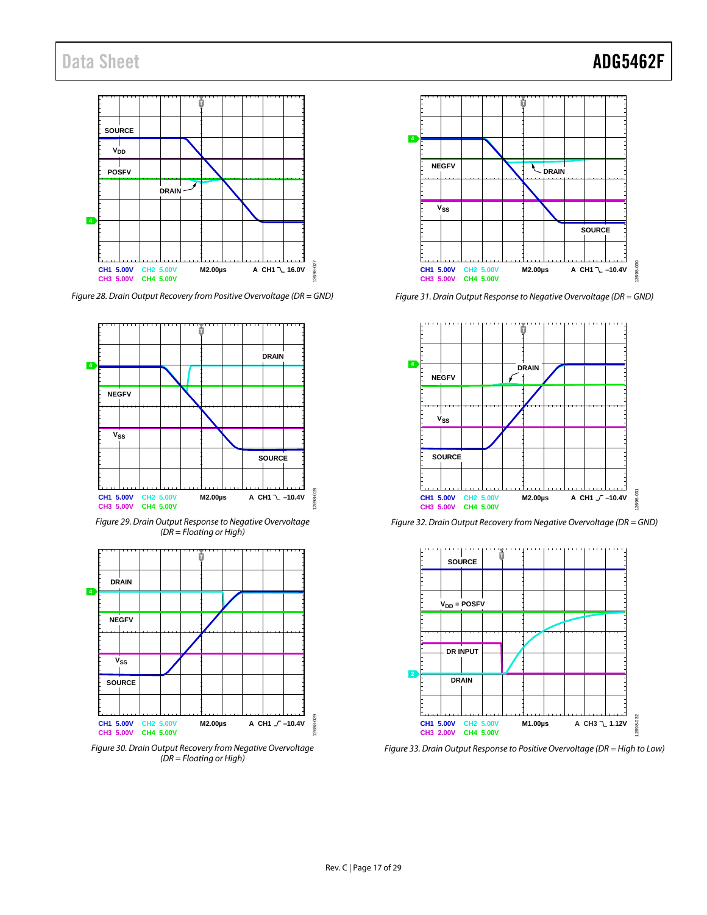**T SOURCE**  $\mathbf{V_{DD}}$ Т **POSFV DRAIN 4** 2698-027 12698-027 M2.00µs **A CH1**  $\sqrt{}$  16.0V **CH1 5.00V CH2 5.00V CH3 5.00V CH4 5.00V**

*Figure 28. Drain Output Recovery from Positive Overvoltage (DR = GND)*



*Figure 29. Drain Output Response to Negative Overvoltage (DR = Floating or High)*



*Figure 30. Drain Output Recovery from Negative Overvoltage (DR = Floating or High)*



*Figure 31. Drain Output Response to Negative Overvoltage (DR = GND)*



*Figure 32. Drain Output Recovery from Negative Overvoltage (DR = GND)*



*Figure 33. Drain Output Response to Positive Overvoltage (DR = High to Low)*

## Data Sheet **ADG5462F**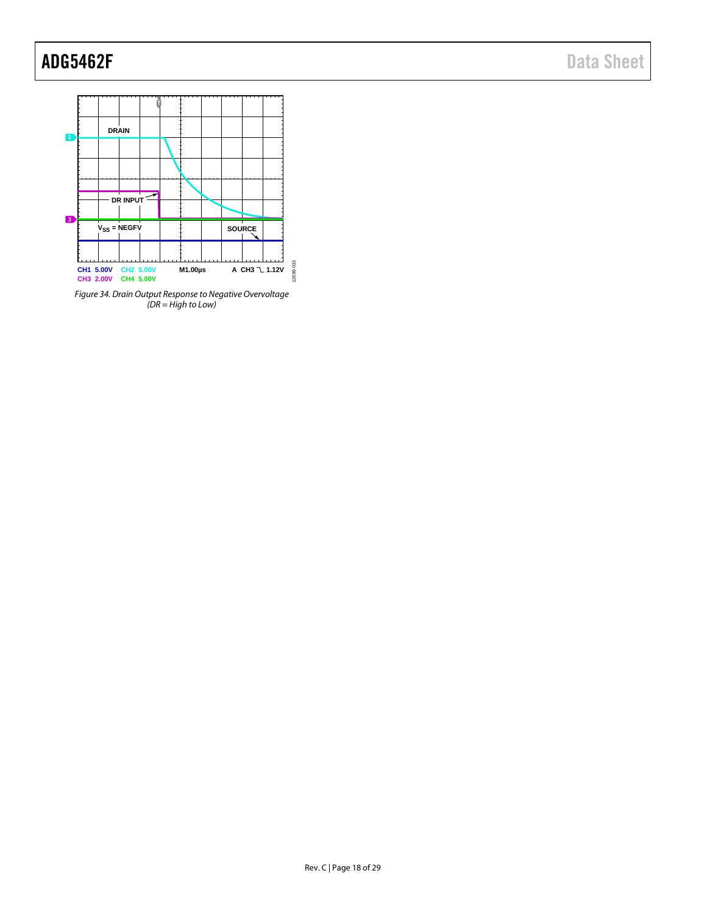

*Figure 34. Drain Output Response to Negative Overvoltage (DR = High to Low)*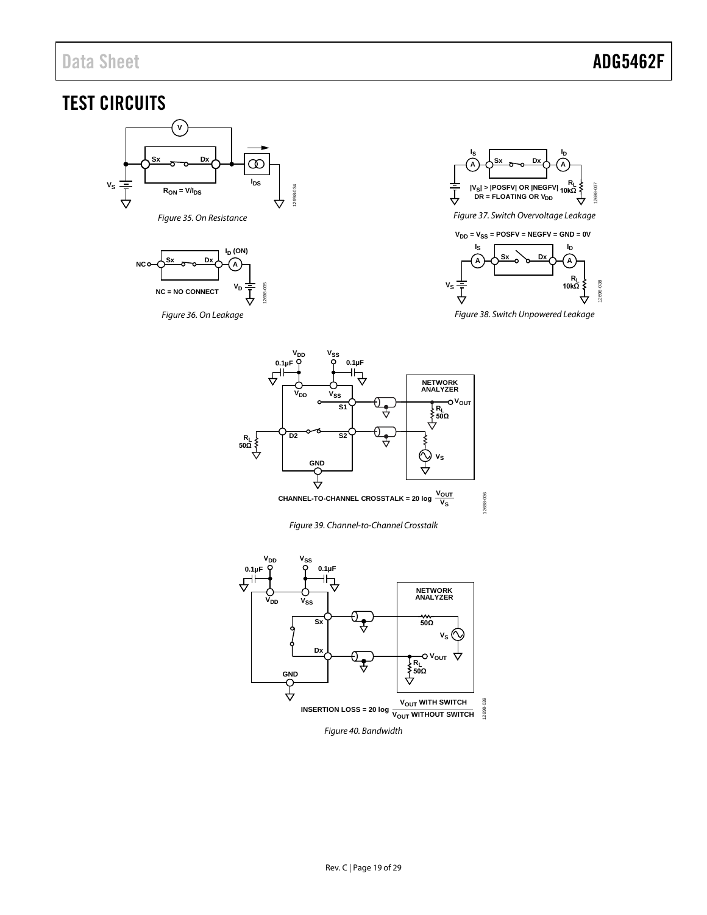## <span id="page-18-0"></span>TEST CIRCUITS



<span id="page-18-2"></span><span id="page-18-1"></span>





*Figure 37. Switch Overvoltage Leakage*

<span id="page-18-3"></span>

<span id="page-18-4"></span>*Figure 38. Switch Unpowered Leakage*



*Figure 39. Channel-to-Channel Crosstalk*

<span id="page-18-6"></span><span id="page-18-5"></span>

*Figure 40. Bandwidth*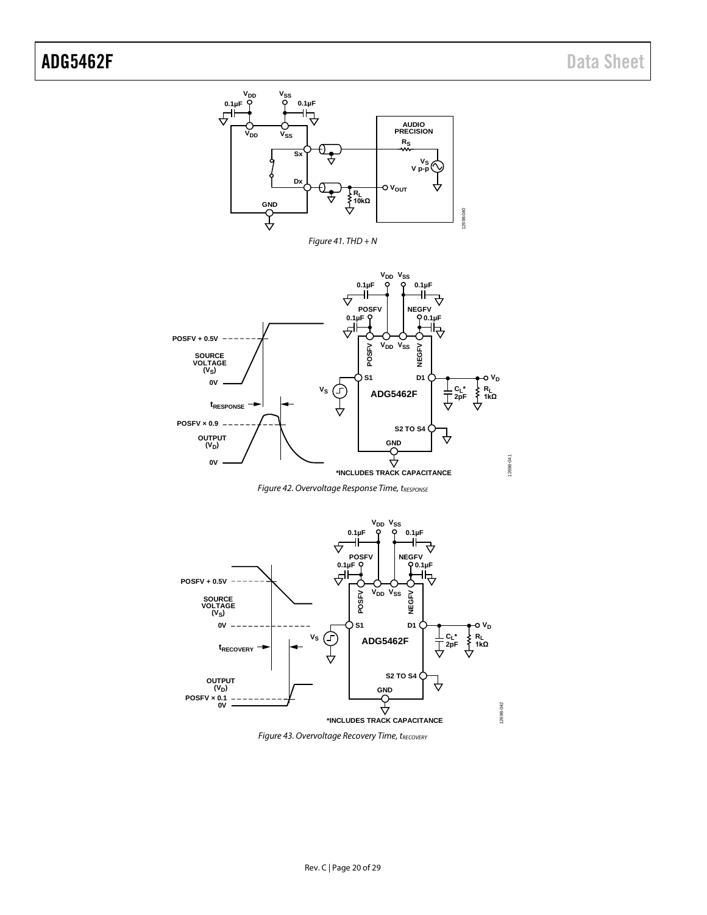<span id="page-19-2"></span>

**Figure 42. Overvoltage Response Time, tRESPONSE** 

<span id="page-19-0"></span>

<span id="page-19-1"></span>**Figure 43. Overvoltage Recovery Time, tRECOVERY**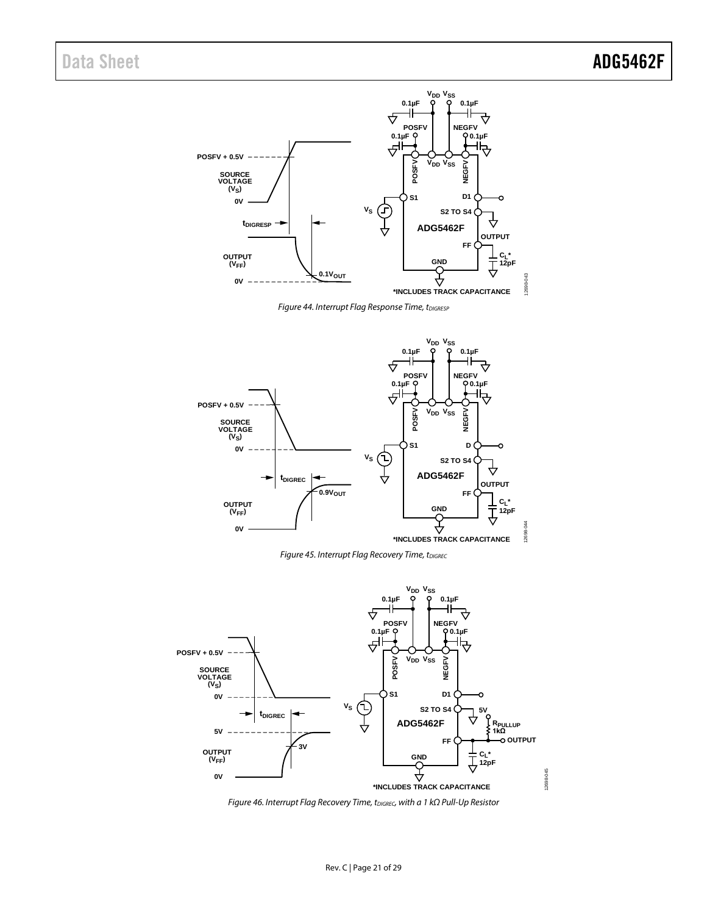

**Figure 44. Interrupt Flag Response Time, tDIGRESP** 

<span id="page-20-0"></span>

**Figure 45. Interrupt Flag Recovery Time, tDIGREC** 

<span id="page-20-1"></span>

<span id="page-20-2"></span>*Figure 46. Interrupt Flag Recovery Time, tDIGREC, with a 1 kΩ Pull-Up Resistor*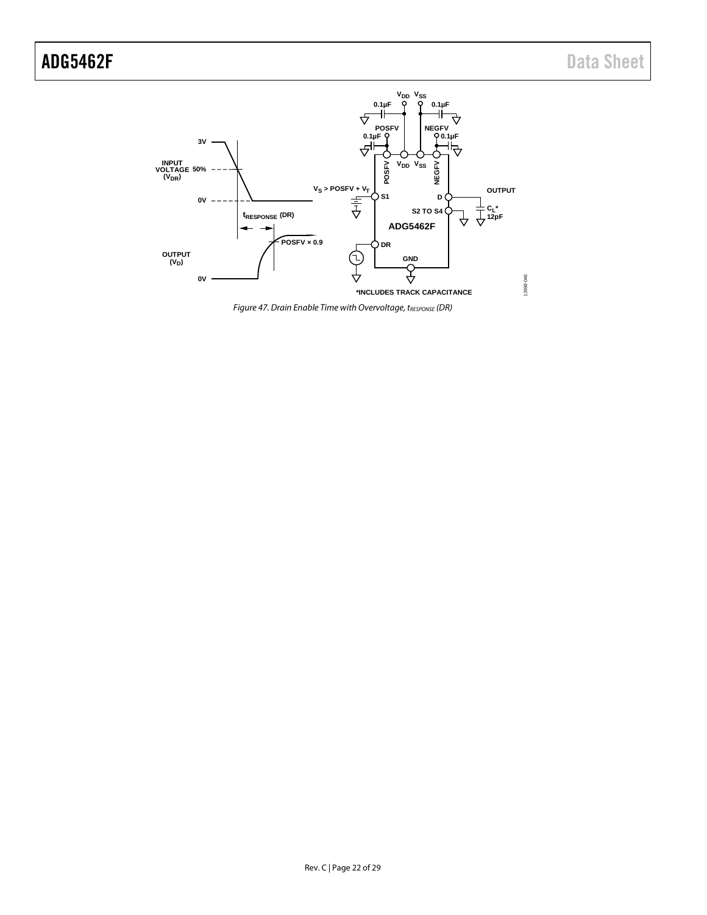

<span id="page-21-0"></span>**Figure 47. Drain Enable Time with Overvoltage, tRESPONSE (DR)**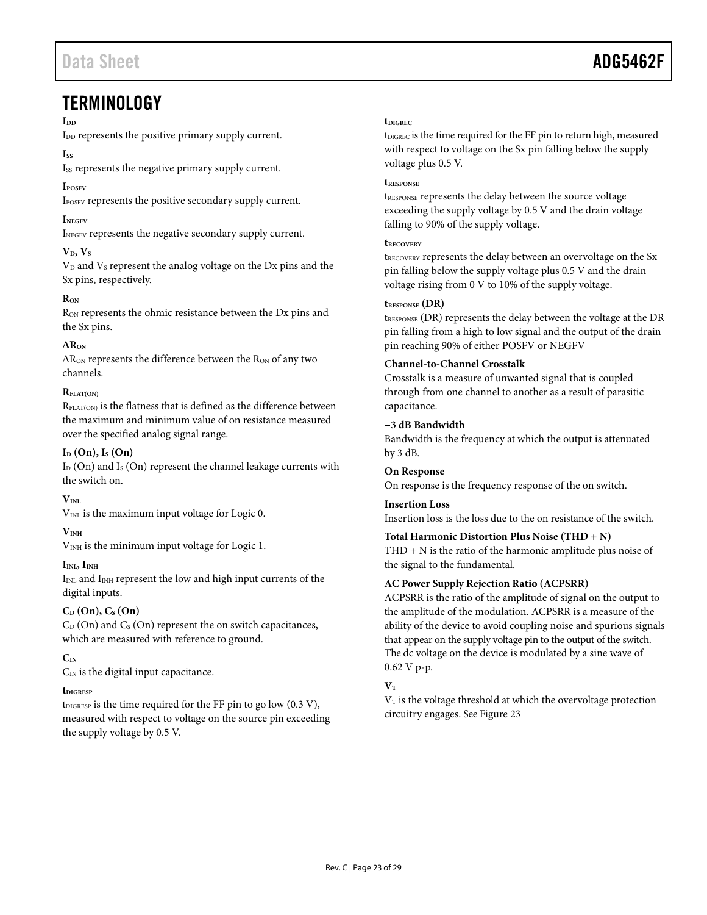### <span id="page-22-0"></span>**TERMINOLOGY**

#### I<sub>DD</sub>

I<sub>DD</sub> represents the positive primary supply current.

#### **Iss**

Iss represents the negative primary supply current.

#### **IPOSFV**

IPOSFV represents the positive secondary supply current.

#### **INEGFV**

INEGFV represents the negative secondary supply current.

#### $V<sub>D</sub>, V<sub>S</sub>$

V<sub>D</sub> and V<sub>S</sub> represent the analog voltage on the D<sub>x</sub> pins and the Sx pins, respectively.

#### **RON**

RON represents the ohmic resistance between the Dx pins and the Sx pins.

#### **∆RON**

 $\Delta R_{ON}$  represents the difference between the  $R_{ON}$  of any two channels.

#### $\mathbf{R}_{\text{EIAT}(\text{OM})}$

RFLAT(ON) is the flatness that is defined as the difference between the maximum and minimum value of on resistance measured over the specified analog signal range.

#### $I_D$  (On),  $I_S$  (On)

 $I_D$  (On) and  $I_S$  (On) represent the channel leakage currents with the switch on.

#### $V_{\text{INI}}$

V<sub>INL</sub> is the maximum input voltage for Logic 0.

#### **VINH**

V<sub>INH</sub> is the minimum input voltage for Logic 1.

#### $I_{\text{IML}}$ ,  $I_{\text{INH}}$

IINL and IINH represent the low and high input currents of the digital inputs.

#### $C_D$  **(On),**  $C_S$  **<b>(On)**

 $C_D$  (On) and  $C_S$  (On) represent the on switch capacitances, which are measured with reference to ground.

#### **CIN**

 $C_{IN}$  is the digital input capacitance.

#### **tDIGRESP**

tDIGRESP is the time required for the FF pin to go low  $(0.3 V)$ , measured with respect to voltage on the source pin exceeding the supply voltage by 0.5 V.

#### **tDIGREC**

t<sub>DIGREC</sub> is the time required for the FF pin to return high, measured with respect to voltage on the Sx pin falling below the supply voltage plus 0.5 V.

#### **tRESPONSE**

tRESPONSE represents the delay between the source voltage exceeding the supply voltage by 0.5 V and the drain voltage falling to 90% of the supply voltage.

#### **tRECOVERY**

tRECOVERY represents the delay between an overvoltage on the Sx pin falling below the supply voltage plus 0.5 V and the drain voltage rising from 0 V to 10% of the supply voltage.

#### **tRESPONSE (DR)**

tRESPONSE (DR) represents the delay between the voltage at the DR pin falling from a high to low signal and the output of the drain pin reaching 90% of either POSFV or NEGFV

#### **Channel-to-Channel Crosstalk**

Crosstalk is a measure of unwanted signal that is coupled through from one channel to another as a result of parasitic capacitance.

#### **−3 dB Bandwidth**

Bandwidth is the frequency at which the output is attenuated by 3 dB.

#### **On Response**

On response is the frequency response of the on switch.

#### **Insertion Loss**

Insertion loss is the loss due to the on resistance of the switch.

#### **Total Harmonic Distortion Plus Noise (THD + N)**

THD + N is the ratio of the harmonic amplitude plus noise of the signal to the fundamental.

#### **AC Power Supply Rejection Ratio (ACPSRR)**

ACPSRR is the ratio of the amplitude of signal on the output to the amplitude of the modulation. ACPSRR is a measure of the ability of the device to avoid coupling noise and spurious signals that appear on the supply voltage pin to the output of the switch. The dc voltage on the device is modulated by a sine wave of 0.62 V p-p.

#### $V_T$

 $V<sub>T</sub>$  is the voltage threshold at which the overvoltage protection circuitry engages. Se[e Figure 23](#page-15-0)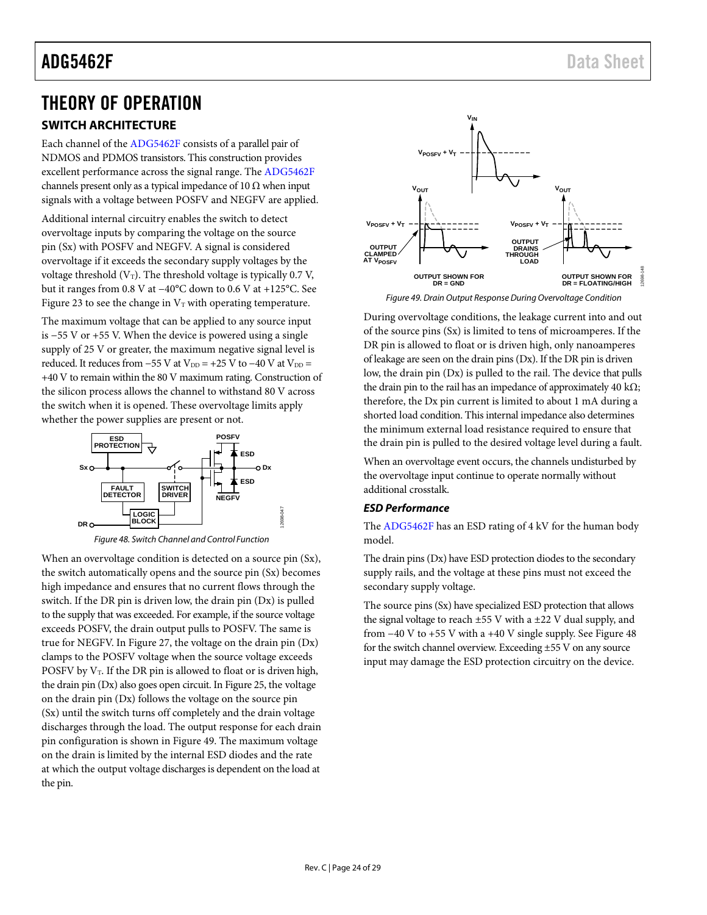## <span id="page-23-1"></span>THEORY OF OPERATION

### <span id="page-23-2"></span>**SWITCH ARCHITECTURE**

Each channel of the [ADG5462F](http://www.analog.com/ADG5462F?doc=ADG5462F.pdf) consists of a parallel pair of NDMOS and PDMOS transistors. This construction provides excellent performance across the signal range. The [ADG5462F](http://www.analog.com/ADG5462F?doc=ADG5462F.pdf) channels present only as a typical impedance of 10  $\Omega$  when input signals with a voltage between POSFV and NEGFV are applied.

Additional internal circuitry enables the switch to detect overvoltage inputs by comparing the voltage on the source pin (Sx) with POSFV and NEGFV. A signal is considered overvoltage if it exceeds the secondary supply voltages by the voltage threshold  $(V_T)$ . The threshold voltage is typically 0.7 V, but it ranges from 0.8 V at −40°C down to 0.6 V at +125°C. See [Figure 23](#page-15-0) to see the change in  $V_T$  with operating temperature.

The maximum voltage that can be applied to any source input is −55 V or +55 V. When the device is powered using a single supply of 25 V or greater, the maximum negative signal level is reduced. It reduces from  $-55$  V at V<sub>DD</sub> = +25 V to  $-40$  V at V<sub>DD</sub> = +40 V to remain within the 80 V maximum rating. Construction of the silicon process allows the channel to withstand 80 V across the switch when it is opened. These overvoltage limits apply whether the power supplies are present or not.



*Figure 48. Switch Channel and Control Function*

<span id="page-23-3"></span>When an overvoltage condition is detected on a source pin (Sx), the switch automatically opens and the source pin (Sx) becomes high impedance and ensures that no current flows through the switch. If the DR pin is driven low, the drain pin (Dx) is pulled to the supply that was exceeded. For example, if the source voltage exceeds POSFV, the drain output pulls to POSFV. The same is true for NEGFV. I[n Figure 27,](#page-15-1) the voltage on the drain pin (Dx) clamps to the POSFV voltage when the source voltage exceeds POSFV by  $V_T$ . If the DR pin is allowed to float or is driven high, the drain pin (Dx) also goes open circuit. I[n Figure 25,](#page-15-2) the voltage on the drain pin (Dx) follows the voltage on the source pin (Sx) until the switch turns off completely and the drain voltage discharges through the load. The output response for each drain pin configuration is shown in [Figure 49.](#page-23-0) The maximum voltage on the drain is limited by the internal ESD diodes and the rate at which the output voltage discharges is dependent on the load at the pin.



*Figure 49. Drain Output Response During Overvoltage Condition*

<span id="page-23-0"></span>During overvoltage conditions, the leakage current into and out of the source pins (Sx) is limited to tens of microamperes. If the DR pin is allowed to float or is driven high, only nanoamperes of leakage are seen on the drain pins (Dx). If the DR pin is driven low, the drain pin (Dx) is pulled to the rail. The device that pulls the drain pin to the rail has an impedance of approximately 40 k $\Omega$ ; therefore, the Dx pin current is limited to about 1 mA during a shorted load condition. This internal impedance also determines the minimum external load resistance required to ensure that the drain pin is pulled to the desired voltage level during a fault.

When an overvoltage event occurs, the channels undisturbed by the overvoltage input continue to operate normally without additional crosstalk.

#### *ESD Performance*

The [ADG5462F](http://www.analog.com/ADG5462F?doc=ADG5462F.pdf) has an ESD rating of 4 kV for the human body model.

The drain pins (Dx) have ESD protection diodes to the secondary supply rails, and the voltage at these pins must not exceed the secondary supply voltage.

The source pins (Sx) have specialized ESD protection that allows the signal voltage to reach  $\pm 55$  V with a  $\pm 22$  V dual supply, and from −40 V to +55 V with a +40 V single supply. See [Figure 48](#page-23-3) for the switch channel overview. Exceeding ±55 V on any source input may damage the ESD protection circuitry on the device.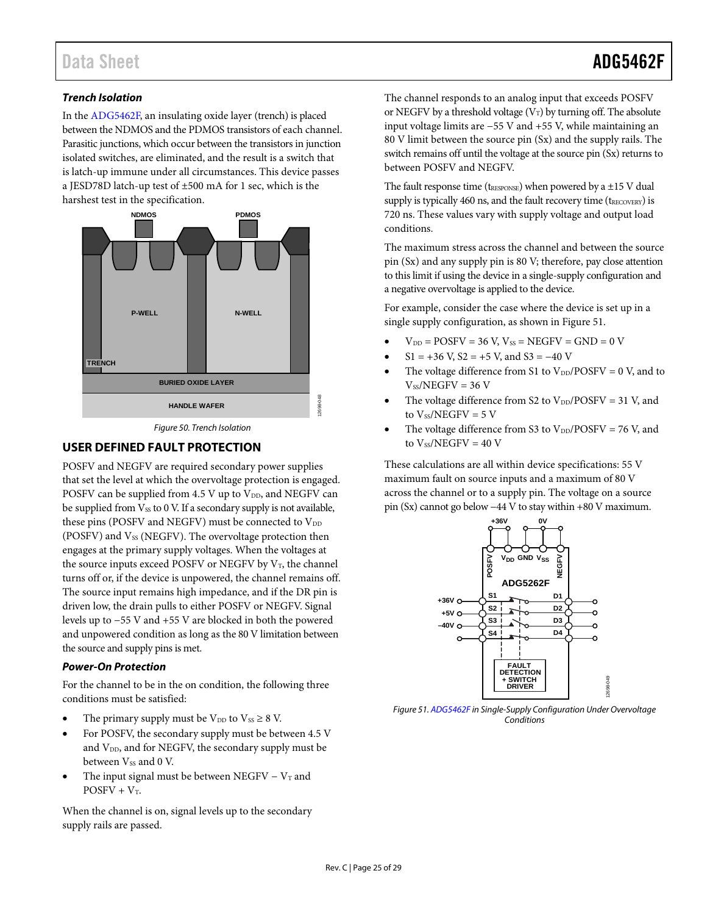#### *Trench Isolation*

In th[e ADG5462F,](http://www.analog.com/ADG5462F?doc=ADG5462F.pdf) an insulating oxide layer (trench) is placed between the NDMOS and the PDMOS transistors of each channel. Parasitic junctions, which occur between the transistors in junction isolated switches, are eliminated, and the result is a switch that is latch-up immune under all circumstances. This device passes a JESD78D latch-up test of ±500 mA for 1 sec, which is the harshest test in the specification.



*Figure 50. Trench Isolation*

#### <span id="page-24-0"></span>**USER DEFINED FAULT PROTECTION**

POSFV and NEGFV are required secondary power supplies that set the level at which the overvoltage protection is engaged. POSFV can be supplied from 4.5 V up to  $V_{DD}$ , and NEGFV can be supplied from Vss to 0 V. If a secondary supply is not available, these pins (POSFV and NEGFV) must be connected to  $V_{DD}$ (POSFV) and  $V_{SS}$  (NEGFV). The overvoltage protection then engages at the primary supply voltages. When the voltages at the source inputs exceed POSFV or NEGFV by  $V_T$ , the channel turns off or, if the device is unpowered, the channel remains off. The source input remains high impedance, and if the DR pin is driven low, the drain pulls to either POSFV or NEGFV. Signal levels up to −55 V and +55 V are blocked in both the powered and unpowered condition as long as the 80 V limitation between the source and supply pins is met.

#### *Power-On Protection*

For the channel to be in the on condition, the following three conditions must be satisfied:

- The primary supply must be  $V_{DD}$  to  $V_{SS} \geq 8$  V.
- For POSFV, the secondary supply must be between 4.5 V and V<sub>DD</sub>, and for NEGFV, the secondary supply must be between Vss and 0 V.
- The input signal must be between NEGFV  $V_T$  and  $POSFV + V_T$ .

When the channel is on, signal levels up to the secondary supply rails are passed.

The channel responds to an analog input that exceeds POSFV or NEGFV by a threshold voltage  $(V_T)$  by turning off. The absolute input voltage limits are −55 V and +55 V, while maintaining an 80 V limit between the source pin (Sx) and the supply rails. The switch remains off until the voltage at the source pin (Sx) returns to between POSFV and NEGFV.

The fault response time ( $t_{\text{RESPONSE}}$ ) when powered by a  $\pm 15$  V dual supply is typically 460 ns, and the fault recovery time ( $t_{RECOVERY}$ ) is 720 ns. These values vary with supply voltage and output load conditions.

The maximum stress across the channel and between the source pin (Sx) and any supply pin is 80 V; therefore, pay close attention to this limit if using the device in a single-supply configuration and a negative overvoltage is applied to the device.

For example, consider the case where the device is set up in a single supply configuration, as shown in [Figure 51.](#page-24-1)

- $V_{DD} = POSTV = 36 V, V_{SS} = NEGFV = GND = 0 V$
- $$1 = +36$  V,  $$2 = +5$  V, and  $$3 = -40$  V
- The voltage difference from S1 to  $V_{DD}/POSFV = 0 V$ , and to  $V_{SS}/NEGFV = 36 V$
- The voltage difference from S2 to  $V_{DD}/\text{POSFV} = 31$  V, and to  $V_{SS}/NEGFV = 5 V$
- The voltage difference from S3 to  $V_{DD}/POSFV = 76$  V, and to  $V$ <sub>ss</sub>/NEGFV = 40 V

These calculations are all within device specifications: 55 V maximum fault on source inputs and a maximum of 80 V across the channel or to a supply pin. The voltage on a source pin (Sx) cannot go below −44 V to stay within +80 V maximum.



<span id="page-24-1"></span>*Figure 51[. ADG5462F](http://www.analog.com/ADG5462F?doc=ADG5462F.pdf) in Single-Supply Configuration Under Overvoltage Conditions*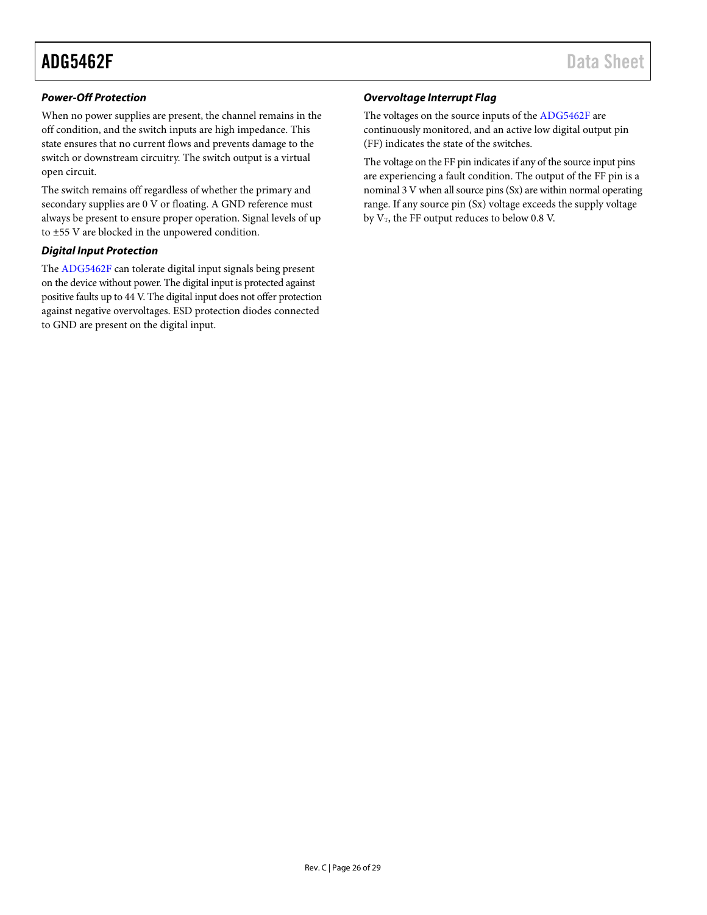#### *Power-Off Protection*

When no power supplies are present, the channel remains in the off condition, and the switch inputs are high impedance. This state ensures that no current flows and prevents damage to the switch or downstream circuitry. The switch output is a virtual open circuit.

The switch remains off regardless of whether the primary and secondary supplies are 0 V or floating. A GND reference must always be present to ensure proper operation. Signal levels of up to ±55 V are blocked in the unpowered condition.

#### *Digital Input Protection*

The [ADG5462F](http://www.analog.com/ADG5462F?doc=ADG5462F.pdf) can tolerate digital input signals being present on the device without power. The digital input is protected against positive faults up to 44 V. The digital input does not offer protection against negative overvoltages. ESD protection diodes connected to GND are present on the digital input.

#### *Overvoltage Interrupt Flag*

The voltages on the source inputs of th[e ADG5462F](http://www.analog.com/ADG5462F?doc=ADG5462F.pdf) are continuously monitored, and an active low digital output pin (FF) indicates the state of the switches.

The voltage on the FF pin indicates if any of the source input pins are experiencing a fault condition. The output of the FF pin is a nominal 3 V when all source pins (Sx) are within normal operating range. If any source pin (Sx) voltage exceeds the supply voltage by  $V_T$ , the FF output reduces to below 0.8 V.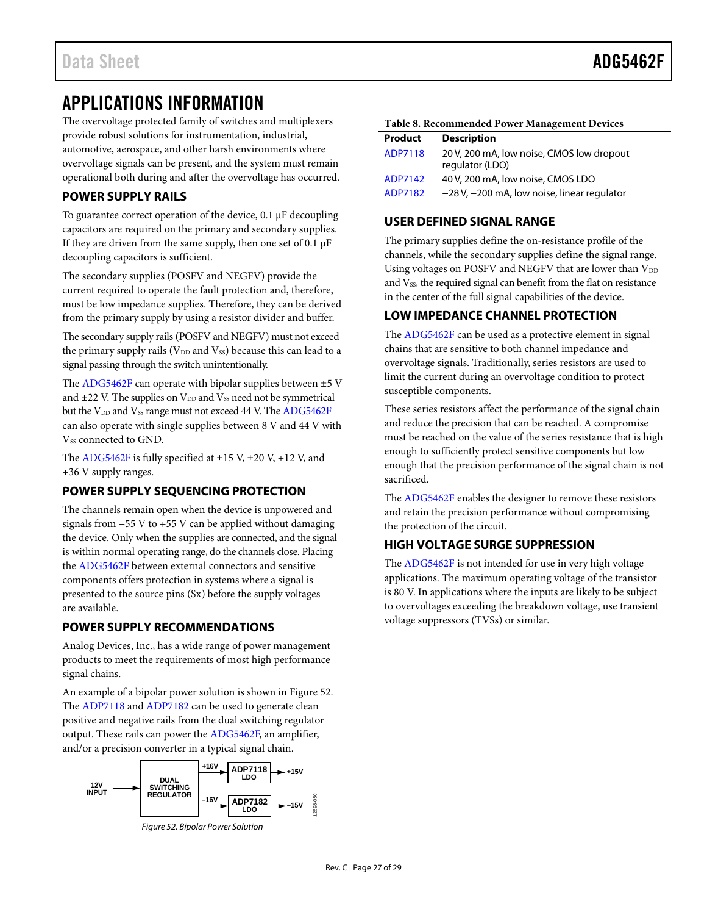### <span id="page-26-0"></span>APPLICATIONS INFORMATION

The overvoltage protected family of switches and multiplexers provide robust solutions for instrumentation, industrial, automotive, aerospace, and other harsh environments where overvoltage signals can be present, and the system must remain operational both during and after the overvoltage has occurred.

#### <span id="page-26-1"></span>**POWER SUPPLY RAILS**

To guarantee correct operation of the device, 0.1 µF decoupling capacitors are required on the primary and secondary supplies. If they are driven from the same supply, then one set of 0.1  $\mu$ F decoupling capacitors is sufficient.

The secondary supplies (POSFV and NEGFV) provide the current required to operate the fault protection and, therefore, must be low impedance supplies. Therefore, they can be derived from the primary supply by using a resistor divider and buffer.

The secondary supply rails (POSFV and NEGFV) must not exceed the primary supply rails ( $V_{DD}$  and  $V_{SS}$ ) because this can lead to a signal passing through the switch unintentionally.

The  $ADG5462F$  can operate with bipolar supplies between  $\pm 5$  V and  $\pm$ 22 V. The supplies on  $V_{DD}$  and  $V_{SS}$  need not be symmetrical but the  $V_{DD}$  and  $V_{SS}$  range must not exceed 44 V. Th[e ADG5462F](http://www.analog.com/ADG5462F?doc=ADG5462F.pdf) can also operate with single supplies between 8 V and 44 V with V<sub>SS</sub> connected to GND.

The [ADG5462F](http://www.analog.com/ADG5462F?doc=ADG5462F.pdf) is fully specified at  $\pm$ 15 V,  $\pm$ 20 V,  $+12$  V, and +36 V supply ranges.

#### <span id="page-26-2"></span>**POWER SUPPLY SEQUENCING PROTECTION**

The channels remain open when the device is unpowered and signals from −55 V to +55 V can be applied without damaging the device. Only when the supplies are connected, and the signal is within normal operating range, do the channels close. Placing the [ADG5462F](http://www.analog.com/ADG5462F?doc=ADG5462F.pdf) between external connectors and sensitive components offers protection in systems where a signal is presented to the source pins (Sx) before the supply voltages are available.

#### <span id="page-26-3"></span>**POWER SUPPLY RECOMMENDATIONS**

Analog Devices, Inc., has a wide range of power management products to meet the requirements of most high performance signal chains.

An example of a bipolar power solution is shown in [Figure 52.](#page-26-7)  The [ADP7118](http://www.analog.com/ADP7118?doc=ADG5462F.pdf) an[d ADP7182](http://www.analog.com/ADP7182?doc=ADG5462F.pdf) can be used to generate clean positive and negative rails from the dual switching regulator output. These rails can power the [ADG5462F,](http://www.analog.com/ADG5462F?doc=ADG5462F.pdf) an amplifier, and/or a precision converter in a typical signal chain.

<span id="page-26-7"></span>



| Table 8. Recommended Power Management Devices |  |
|-----------------------------------------------|--|
|-----------------------------------------------|--|

| Product | <b>Description</b>                                           |
|---------|--------------------------------------------------------------|
| ADP7118 | 20 V, 200 mA, low noise, CMOS low dropout<br>regulator (LDO) |
| ADP7142 | 40 V, 200 mA, low noise, CMOS LDO                            |
| ADP7182 | -28 V, -200 mA, low noise, linear regulator                  |

#### <span id="page-26-4"></span>**USER DEFINED SIGNAL RANGE**

The primary supplies define the on-resistance profile of the channels, while the secondary supplies define the signal range. Using voltages on POSFV and NEGFV that are lower than V<sub>DD</sub> and Vss, the required signal can benefit from the flat on resistance in the center of the full signal capabilities of the device.

#### <span id="page-26-5"></span>**LOW IMPEDANCE CHANNEL PROTECTION**

The [ADG5462F](http://www.analog.com/ADG5462F?doc=ADG5462F.pdf) can be used as a protective element in signal chains that are sensitive to both channel impedance and overvoltage signals. Traditionally, series resistors are used to limit the current during an overvoltage condition to protect susceptible components.

These series resistors affect the performance of the signal chain and reduce the precision that can be reached. A compromise must be reached on the value of the series resistance that is high enough to sufficiently protect sensitive components but low enough that the precision performance of the signal chain is not sacrificed.

The [ADG5462F](http://www.analog.com/ADG5462F?doc=ADG5462F.pdf) enables the designer to remove these resistors and retain the precision performance without compromising the protection of the circuit.

#### <span id="page-26-6"></span>**HIGH VOLTAGE SURGE SUPPRESSION**

The [ADG5462F](http://www.analog.com/ADG5462F?doc=ADG5462F.pdf) is not intended for use in very high voltage applications. The maximum operating voltage of the transistor is 80 V. In applications where the inputs are likely to be subject to overvoltages exceeding the breakdown voltage, use transient voltage suppressors (TVSs) or similar.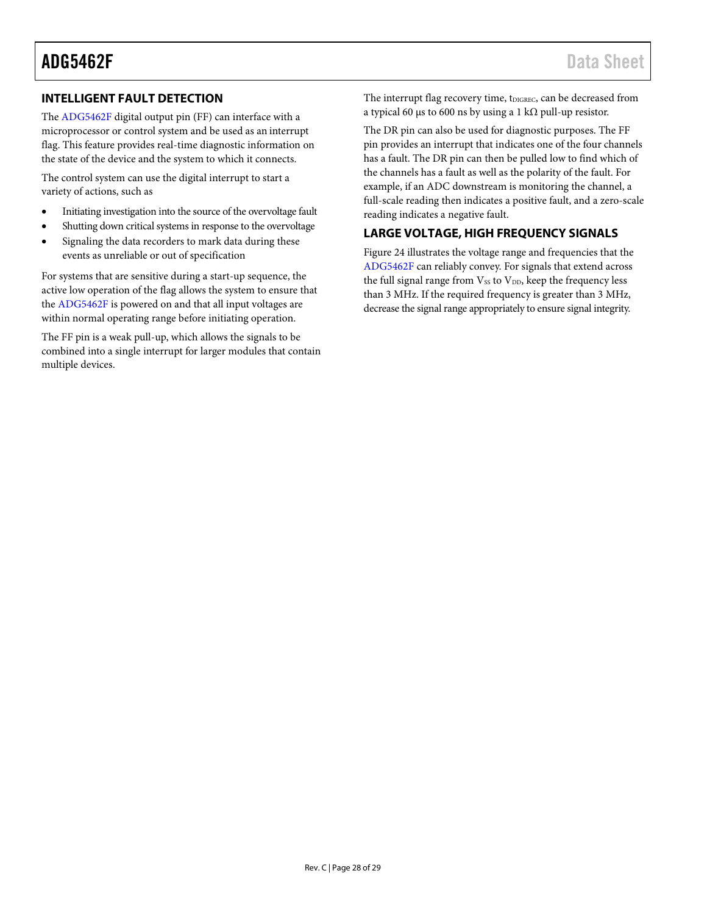#### <span id="page-27-0"></span>**INTELLIGENT FAULT DETECTION**

The [ADG5462F](http://www.analog.com/ADG5462F?doc=ADG5462F.pdf) digital output pin (FF) can interface with a microprocessor or control system and be used as an interrupt flag. This feature provides real-time diagnostic information on the state of the device and the system to which it connects.

The control system can use the digital interrupt to start a variety of actions, such as

- Initiating investigation into the source of the overvoltage fault
- Shutting down critical systems in response to the overvoltage
- Signaling the data recorders to mark data during these events as unreliable or out of specification

For systems that are sensitive during a start-up sequence, the active low operation of the flag allows the system to ensure that the [ADG5462F](http://www.analog.com/ADG5462F?doc=ADG5462F.pdf) is powered on and that all input voltages are within normal operating range before initiating operation.

The FF pin is a weak pull-up, which allows the signals to be combined into a single interrupt for larger modules that contain multiple devices.

The interrupt flag recovery time, tDIGREC, can be decreased from a typical 60 μs to 600 ns by using a 1 kΩ pull-up resistor.

The DR pin can also be used for diagnostic purposes. The FF pin provides an interrupt that indicates one of the four channels has a fault. The DR pin can then be pulled low to find which of the channels has a fault as well as the polarity of the fault. For example, if an ADC downstream is monitoring the channel, a full-scale reading then indicates a positive fault, and a zero-scale reading indicates a negative fault.

#### <span id="page-27-1"></span>**LARGE VOLTAGE, HIGH FREQUENCY SIGNALS**

[Figure 24](#page-15-3) illustrates the voltage range and frequencies that the [ADG5462F](http://www.analog.com/ADG5462F?doc=ADG5462F.pdf) can reliably convey. For signals that extend across the full signal range from  $V_{SS}$  to  $V_{DD}$ , keep the frequency less than 3 MHz. If the required frequency is greater than 3 MHz, decrease the signal range appropriately to ensure signal integrity.